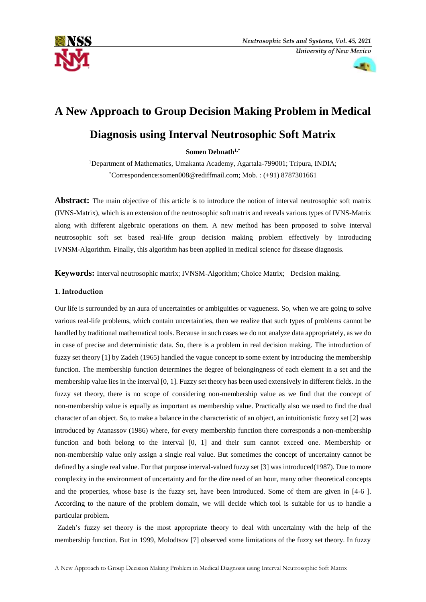



# **A New Approach to Group Decision Making Problem in Medical**

## **Diagnosis using Interval Neutrosophic Soft Matrix**

**Somen Debnath1,\***

<sup>1</sup>Department of Mathematics, Umakanta Academy, Agartala-799001; Tripura, INDIA; \* Correspondence:somen008@rediffmail.com; Mob. : (+91) 8787301661

**Abstract:** The main objective of this article is to introduce the notion of interval neutrosophic soft matrix (IVNS-Matrix), which is an extension of the neutrosophic soft matrix and reveals various types of IVNS-Matrix along with different algebraic operations on them. A new method has been proposed to solve interval neutrosophic soft set based real-life group decision making problem effectively by introducing IVNSM-Algorithm. Finally, this algorithm has been applied in medical science for disease diagnosis.

**Keywords:** Interval neutrosophic matrix; IVNSM-Algorithm; Choice Matrix; Decision making.

## **1. Introduction**

Our life is surrounded by an aura of uncertainties or ambiguities or vagueness. So, when we are going to solve various real-life problems, which contain uncertainties, then we realize that such types of problems cannot be handled by traditional mathematical tools. Because in such cases we do not analyze data appropriately, as we do in case of precise and deterministic data. So, there is a problem in real decision making. The introduction of fuzzy set theory [1] by Zadeh (1965) handled the vague concept to some extent by introducing the membership function. The membership function determines the degree of belongingness of each element in a set and the membership value lies in the interval [0, 1]. Fuzzy set theory has been used extensively in different fields. In the fuzzy set theory, there is no scope of considering non-membership value as we find that the concept of non-membership value is equally as important as membership value. Practically also we used to find the dual character of an object. So, to make a balance in the characteristic of an object, an intuitionistic fuzzy set [2] was introduced by Atanassov (1986) where, for every membership function there corresponds a non-membership function and both belong to the interval [0, 1] and their sum cannot exceed one. Membership or non-membership value only assign a single real value. But sometimes the concept of uncertainty cannot be defined by a single real value. For that purpose interval-valued fuzzy set [3] was introduced(1987). Due to more complexity in the environment of uncertainty and for the dire need of an hour, many other theoretical concepts and the properties, whose base is the fuzzy set, have been introduced. Some of them are given in [4-6 ]. According to the nature of the problem domain, we will decide which tool is suitable for us to handle a particular problem.

Zadeh's fuzzy set theory is the most appropriate theory to deal with uncertainty with the help of the membership function. But in 1999, Molodtsov [7] observed some limitations of the fuzzy set theory. In fuzzy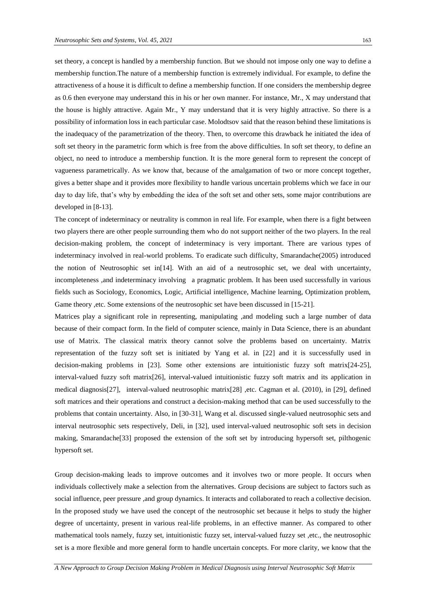set theory, a concept is handled by a membership function. But we should not impose only one way to define a membership function.The nature of a membership function is extremely individual. For example, to define the attractiveness of a house it is difficult to define a membership function. If one considers the membership degree as 0.6 then everyone may understand this in his or her own manner. For instance, Mr., X may understand that the house is highly attractive. Again Mr., Y may understand that it is very highly attractive. So there is a possibility of information loss in each particular case. Molodtsov said that the reason behind these limitations is the inadequacy of the parametrization of the theory. Then, to overcome this drawback he initiated the idea of soft set theory in the parametric form which is free from the above difficulties. In soft set theory, to define an object, no need to introduce a membership function. It is the more general form to represent the concept of vagueness parametrically. As we know that, because of the amalgamation of two or more concept together, gives a better shape and it provides more flexibility to handle various uncertain problems which we face in our day to day life, that's why by embedding the idea of the soft set and other sets, some major contributions are developed in [8-13].

The concept of indeterminacy or neutrality is common in real life. For example, when there is a fight between two players there are other people surrounding them who do not support neither of the two players. In the real decision-making problem, the concept of indeterminacy is very important. There are various types of indeterminacy involved in real-world problems. To eradicate such difficulty, Smarandache(2005) introduced the notion of Neutrosophic set in[14]. With an aid of a neutrosophic set, we deal with uncertainty, incompleteness ,and indeterminacy involving a pragmatic problem. It has been used successfully in various fields such as Sociology, Economics, Logic, Artificial intelligence, Machine learning, Optimization problem, Game theory ,etc. Some extensions of the neutrosophic set have been discussed in [15-21].

Matrices play a significant role in representing, manipulating ,and modeling such a large number of data because of their compact form. In the field of computer science, mainly in Data Science, there is an abundant use of Matrix. The classical matrix theory cannot solve the problems based on uncertainty. Matrix representation of the fuzzy soft set is initiated by Yang et al. in [22] and it is successfully used in decision-making problems in [23]. Some other extensions are intuitionistic fuzzy soft matrix[24-25], interval-valued fuzzy soft matrix[26], interval-valued intuitionistic fuzzy soft matrix and its application in medical diagnosis[27], interval-valued neutrosophic matrix[28] ,etc. Cagman et al. (2010), in [29], defined soft matrices and their operations and construct a decision-making method that can be used successfully to the problems that contain uncertainty. Also, in [30-31], Wang et al. discussed single-valued neutrosophic sets and interval neutrosophic sets respectively, Deli, in [32], used interval-valued neutrosophic soft sets in decision making, Smarandache[33] proposed the extension of the soft set by introducing hypersoft set, pilthogenic hypersoft set.

Group decision-making leads to improve outcomes and it involves two or more people. It occurs when individuals collectively make a selection from the alternatives. Group decisions are subject to factors such as social influence, peer pressure ,and group dynamics. It interacts and collaborated to reach a collective decision. In the proposed study we have used the concept of the neutrosophic set because it helps to study the higher degree of uncertainty, present in various real-life problems, in an effective manner. As compared to other mathematical tools namely, fuzzy set, intuitionistic fuzzy set, interval-valued fuzzy set, etc., the neutrosophic set is a more flexible and more general form to handle uncertain concepts. For more clarity, we know that the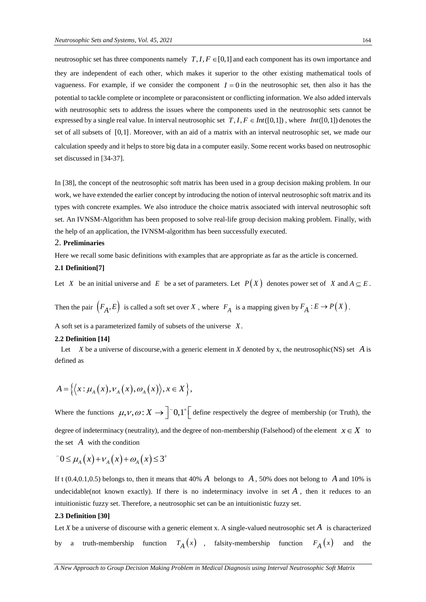neutrosophic set has three components namely  $T, I, F \in [0,1]$  and each component has its own importance and they are independent of each other, which makes it superior to the other existing mathematical tools of vagueness. For example, if we consider the component  $I = 0$  in the neutrosophic set, then also it has the potential to tackle complete or incomplete or paraconsistent or conflicting information. We also added intervals with neutrosophic sets to address the issues where the components used in the neutrosophic sets cannot be expressed by a single real value. In interval neutrosophic set  $T, I, F \in Int([0,1])$ , where  $Int([0,1])$  denotes the set of all subsets of [0,1] . Moreover, with an aid of a matrix with an interval neutrosophic set, we made our calculation speedy and it helps to store big data in a computer easily. Some recent works based on neutrosophic set discussed in [34-37].

In [38], the concept of the neutrosophic soft matrix has been used in a group decision making problem. In our work, we have extended the earlier concept by introducing the notion of interval neutrosophic soft matrix and its types with concrete examples. We also introduce the choice matrix associated with interval neutrosophic soft set. An IVNSM-Algorithm has been proposed to solve real-life group decision making problem. Finally, with the help of an application, the IVNSM-algorithm has been successfully executed.

#### 2. **Preliminaries**

Here we recall some basic definitions with examples that are appropriate as far as the article is concerned. **2.1 Definition[7]** 

Let X be an initial universe and E be a set of parameters. Let  $P(X)$  denotes power set of X and  $A \subseteq E$ .

Then the pair  $(F_A, E)$  is called a soft set over X, where  $F_A$  is a mapping given by  $F_A : E \to P(X)$ .

A soft set is a parameterized family of subsets of the universe *X*.

## **2.2 Definition [14]**

Let  $X$  be a universe of discourse, with a generic element in  $X$  denoted by  $x$ , the neutrosophic(NS) set  $A$  is defined as

$$
A = \left\{ \left\langle x : \mu_A(x), \nu_A(x), \omega_A(x) \right\rangle, x \in X \right\},\
$$

Where the functions  $\mu$ ,  $\nu$ ,  $\omega$ :  $X \rightarrow$   $\begin{bmatrix} -0, 1 \\ -1 \end{bmatrix}$  define respectively the degree of membership (or Truth), the degree of indeterminacy (neutrality), and the degree of non-membership (Falsehood) of the element  $x \in X$  to the set  $A$  with the condition

$$
-0 \le \mu_A(x) + \nu_A(x) + \omega_A(x) \le 3^+
$$

If t  $(0.4, 0.1, 0.5)$  belongs to, then it means that  $40\%$  *A* belongs to *A*, 50% does not belong to *A* and 10% is undecidable(not known exactly). If there is no indeterminacy involve in set  $A$ , then it reduces to an intuitionistic fuzzy set. Therefore, a neutrosophic set can be an intuitionistic fuzzy set.

## **2.3 Definition [30]**

Let *X* be a universe of discourse with a generic element x. A single-valued neutrosophic set *A* is characterized by a truth-membership  $T_A(x)$ , falsity-membership function  $F_A(x)$ and the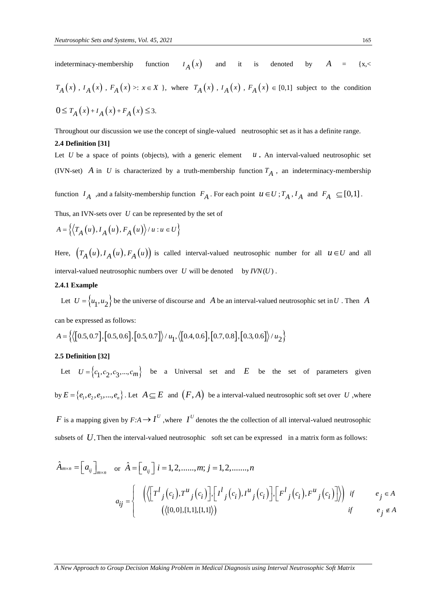indeterminacy-membership function  $I_A(x)$ and it is denoted by *A*  $\{x, \leq$  $T_A(x)$ ,  $I_A(x)$ ,  $F_A(x) >: x \in X$ , where  $T_A(x)$ ,  $I_A(x)$ ,  $F_A(x) \in [0,1]$  subject to the condition  $0 \le T_A(x) + I_A(x) + F_A(x) \le 3.$ 

Throughout our discussion we use the concept of single-valued neutrosophic set as it has a definite range.

#### **2.4 Definition [31]**

Let  $U$  be a space of points (objects), with a generic element  $u$ . An interval-valued neutrosophic set (IVN-set) A in U is characterized by a truth-membership function  $T_A$ , an indeterminacy-membership

function  $I_A$  , and a falsity-membership function  $F_A$ . For each point  $u \in U$ ;  $T_A$ ,  $I_A$  and  $F_A \subseteq [0,1]$ .

Thus, an IVN-sets over  $U$  can be represented by the set of

$$
A = \{ (T_A(u), I_A(u), F_A(u)) / u : u \in U \}
$$

Here,  $(T_A(u), I_A(u), F_A(u))$  is called interval-valued neutrosophic number for all  $u \in U$  and all interval-valued neutrosophic numbers over  $U$  will be denoted by  $IVN(U)$ .

## **2.4.1 Example**

Let  $U = \{u_1, u_2\}$  be the universe of discourse and A be an interval-valued neutrosophic set in U. Then A can be expressed as follows:

can be expressed as follows:  
\n
$$
A = \{ \langle [0.5, 0.7], [0.5, 0.6], [0.5, 0.7] \rangle / u_1, \langle [0.4, 0.6], [0.7, 0.8], [0.3, 0.6] \rangle / u_2 \}
$$

## **2.5 Definition [32]**

Let  $U = \{c_1, c_2, c_3, ..., c_m\}$  be a Universal set and E be the set of parameters given by  $E = \{e_1, e_2, e_3, ..., e_n\}$ . Let  $A \subseteq E$  and  $(F, A)$  be a interval-valued neutrosophic soft set over U , where

*F* is a mapping given by  $F: A \to I^U$ , where  $I^U$  denotes the the collection of all interval-valued neutrosophic subsets of U. Then the interval-valued neutrosophic soft set can be expressed in a matrix form as follows:

$$
\hat{A}_{m \times n} = \begin{bmatrix} a_{ij} \end{bmatrix}_{m \times n} \quad \text{or} \quad \hat{A} = \begin{bmatrix} a_{ij} \end{bmatrix} i = 1, 2, \dots, m; j = 1, 2, \dots, n
$$
\n
$$
a_{ij} = \begin{cases}\n\left( \left\langle \begin{bmatrix} T^l_j(c_i), T^u_j(c_i) \end{bmatrix}, \begin{bmatrix} I^l_j(c_i), I^u_j(c_i) \end{bmatrix}, \begin{bmatrix} F^l_j(c_i), F^u_j(c_i) \end{bmatrix} \right\rangle \right) & \text{if} \quad e_j \in A \\
\left( \left\langle [0, 0], [1, 1], [1, 1] \right\rangle \right) & \text{if} \quad e_j \notin A\n\end{cases}
$$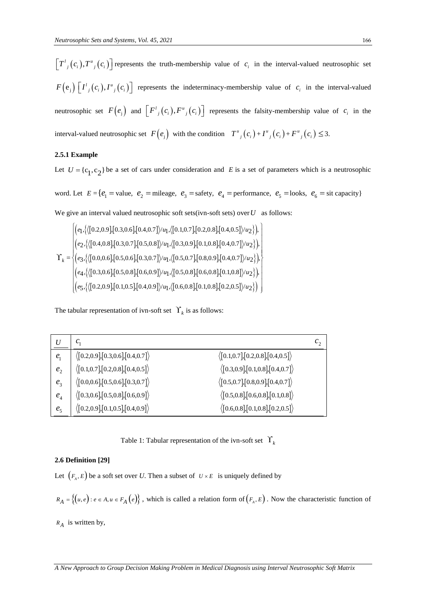$\left\{P_{\cdot}(\mathbf{t}_1),P_{\cdot}(\mathbf{t}_2)\right\}$  represents the multi-membership value of  $x_i$  in the interval contemporal<br>  $F(\mathbf{s}_i)$   $\left\{P_{\cdot}(\mathbf{s}_i),P_{\cdot}(\mathbf{s}_i)\right\}$  represents the noblem<br>many  $\mathbf{t}_i(\mathbf{s}_i)$  and  $\left\{P_{\cdot}(\mathbf{s}_i),$  $\left[T^l{}_j(c_i), T^u{}_j(c_i)\right]$  represents the truth-membership value of  $c_i$  in the interval-valued neutrosophic set  $F(e_j) \left[ I^l{}_j(c_i)$ ,  $I^u{}_j(c_i) \right]$  represents the indeterminacy-membership value of  $c_i$  in the interval-valued neutrosophic set  $F(e_j)$  and  $\left[F^{\mu}_{j}(c_i), F^{\mu}_{j}(c_i)\right]$  represents the falsity-membership value of  $c_i$  in the interval-valued neutrosophic set  $F(e_j)$  with the condition  $T^{\mu}_{j}(c_i) + T^{\mu}_{j}(c_i) + F^{\mu}_{j}(c_i) \leq 3$ .

## **2.5.1 Example**

Let  $U = \{c_1, c_2\}$  be a set of cars under consideration and E is a set of parameters which is a neutrosophic

word. Let  $E = \{e_1 = \text{value}, e_2 = \text{mileage}, e_3 = \text{safety}, e_4 = \text{performance}, e_5 = \text{looks}, e_6 = \text{sit capacity}\}\$ 

We give an interval valued neutrosophic soft sets(ivn-soft sets) over *U* as follows:  
\n
$$
\gamma_k = \begin{cases}\n(e_1,\{(0.2,0.9],[0.3,0.6],[0.4,0.7]\}/u_1,\{(0.1,0.7],[0.2,0.8],[0.4,0.5]\}/u_2\}, \\
(e_2,\{(0.4,0.8],[0.3,0.7],[0.5,0.8]\}/u_1,\{(0.3,0.9],[0.1,0.8],[0.4,0.7]\}/u_2\}, \\
(e_3,\{(0.0,0.6],[0.5,0.6],[0.3,0.7]\}/u_1,\{(0.5,0.7],[0.8,0.9],[0.4,0.7]\}/u_2\}, \\
(e_4,\{([0.3,0.6],[0.5,0.8],[0.6,0.9]\}/u_1,\{(0.5,0.8],[0.6,0.8],[0.1,0.8]\}/u_2\}) \\
(e_5,\{([0.2,0.9],[0.1,0.5],[0.4,0.9]\}/u_1,\{(0.6,0.8],[0.1,0.8],[0.2,0.5]\}/u_2\})\n\end{cases}
$$

The tabular representation of ivn-soft set  $\Upsilon_k$  is as follows:

| U              |                                                   |                                                      |
|----------------|---------------------------------------------------|------------------------------------------------------|
| $e_{1}$        | $\langle$ [0.2,0.9],[0.3,0.6],[0.4,0.7] $\rangle$ | $\langle$ [0.1,0.7],[0.2,0.8],[0.4,0.5])             |
| $e_{2}$        | $\langle$ [0.1,0.7],[0.2,0.8],[0.4,0.5] $\rangle$ | $\langle$ [0.3,0.9],[0.1,0.8],[0.4,0.7])             |
| e <sub>3</sub> | $\langle$ [0.0,0.6],[0.5,0.6],[0.3,0.7] $\rangle$ | $\langle$ [0.5,0.7],[0.8,0.9],[0.4,0.7] $\rangle$    |
| $e_4$          | $\langle$ [0.3,0.6],[0.5,0.8],[0.6,0.9] $\rangle$ | $\langle$ [0.5,0.8],[0.6,0.8],[0.1,0.8])             |
| e <sub>5</sub> | $\langle$ [0.2,0.9],[0.1,0.5],[0.4,0.9] $\rangle$ | $\langle [0.6, 0.8], [0.1, 0.8], [0.2, 0.5] \rangle$ |

Table 1: Tabular representation of the ivn-soft set  $\Upsilon_k$ 

## **2.6 Definition [29]**

Let  $(F_A, E)$  be a soft set over *U*. Then a subset of  $U \times E$  is uniquely defined by

$$
R_A = \left\{ (u, e) : e \in A, u \in F_A(e) \right\}
$$
, which is called a relation form of  $(F_A, E)$ . Now the characteristic function of

*RA* is written by,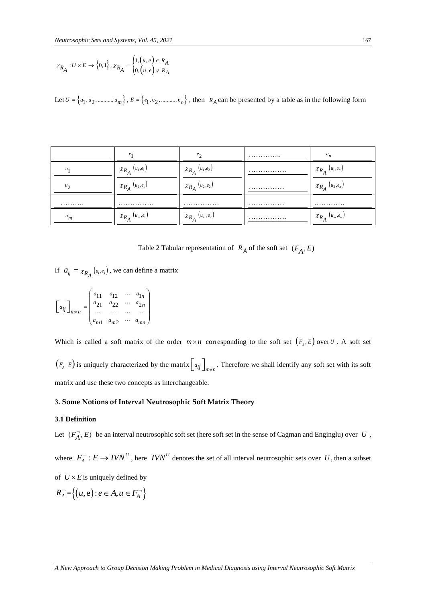$$
\chi_{R_A} : U \times E \rightarrow \left\{0,1\right\}, \chi_{R_A} = \begin{cases} 1,\left(u,e\right) \in R_A \\ 0,\left(u,e\right) \not \in R_A \end{cases}
$$

|                                                                                                                                                                                                                                      | $\chi_{R_A}: U \times E \to \{0,1\}$ , $\chi_{R_A} = \begin{cases} 1, (u, e) \in R_A \\ 0, (u, e) \notin R_A \end{cases}$ |                                                             |                                                                                                                                       |                                                                                                                                                                 |
|--------------------------------------------------------------------------------------------------------------------------------------------------------------------------------------------------------------------------------------|---------------------------------------------------------------------------------------------------------------------------|-------------------------------------------------------------|---------------------------------------------------------------------------------------------------------------------------------------|-----------------------------------------------------------------------------------------------------------------------------------------------------------------|
|                                                                                                                                                                                                                                      |                                                                                                                           |                                                             | Let $U = \{u_1, u_2, \dots, u_m\}$ , $E = \{e_1, e_2, \dots, e_n\}$ , then $R_A$ can be presented by a table as in the following form |                                                                                                                                                                 |
|                                                                                                                                                                                                                                      |                                                                                                                           |                                                             |                                                                                                                                       |                                                                                                                                                                 |
|                                                                                                                                                                                                                                      |                                                                                                                           |                                                             |                                                                                                                                       |                                                                                                                                                                 |
|                                                                                                                                                                                                                                      | $e_1$                                                                                                                     | $e_2$                                                       |                                                                                                                                       | $e_n$                                                                                                                                                           |
| $\ensuremath{^{u_1}}$                                                                                                                                                                                                                | $\chi_{R_{A}}\left( u_{1},e_{1}\right)$                                                                                   | $\chi_{R_{A}}\left( u_{1},e_{2}\right)$                     |                                                                                                                                       | $\chi_{R_{A}}\left( u_{1},e_{n}\right)$                                                                                                                         |
| $u_2$                                                                                                                                                                                                                                | $\chi_{R_{A}}\left( u_{2},e_{1}\right)$                                                                                   | $\chi_{R_{A}}\left( u_{2},e_{2}\right)$                     |                                                                                                                                       | $\chi_{R_{A}}\left( u_{2},e_{n}\right)$                                                                                                                         |
|                                                                                                                                                                                                                                      |                                                                                                                           |                                                             |                                                                                                                                       |                                                                                                                                                                 |
| $u_m$                                                                                                                                                                                                                                | $\chi_{R_{\hat{A}}} \left( u_m, e_1 \right)$                                                                              | $\chi_{R_{A}}\left(u_{m},e_{2}\right)$                      |                                                                                                                                       | $\chi_{R_{A}}\left(u_{m},e_{n}\right)$                                                                                                                          |
|                                                                                                                                                                                                                                      |                                                                                                                           |                                                             |                                                                                                                                       |                                                                                                                                                                 |
|                                                                                                                                                                                                                                      |                                                                                                                           |                                                             | Table 2 Tabular representation of $R_A$ of the soft set $(F_A, E)$                                                                    |                                                                                                                                                                 |
|                                                                                                                                                                                                                                      | If $a_{ij} = \chi_{R_A}(u_i, e_j)$ , we can define a matrix                                                               |                                                             |                                                                                                                                       |                                                                                                                                                                 |
| $\begin{bmatrix} a_{ij} \end{bmatrix}_{m \times n} = \begin{bmatrix} a_{11} & a_{12} & \cdots & a_{1n} \\ a_{21} & a_{22} & \cdots & a_{2n} \\ \cdots & \cdots & \cdots & \cdots \\ a_{n1} & a_{n2} & \cdots & a_{nn} \end{bmatrix}$ |                                                                                                                           |                                                             |                                                                                                                                       |                                                                                                                                                                 |
|                                                                                                                                                                                                                                      |                                                                                                                           |                                                             |                                                                                                                                       |                                                                                                                                                                 |
|                                                                                                                                                                                                                                      |                                                                                                                           |                                                             |                                                                                                                                       | Which is called a soft matrix of the order $m \times n$ corresponding to the soft set $(F_A, E)$ over $U$ . A soft set                                          |
|                                                                                                                                                                                                                                      |                                                                                                                           |                                                             |                                                                                                                                       | $(F_A, E)$ is uniquely characterized by the matrix $\begin{bmatrix} a_{ij} \end{bmatrix}_{m \times n}$ . Therefore we shall identify any soft set with its soft |
|                                                                                                                                                                                                                                      | matrix and use these two concepts as interchangeable.                                                                     |                                                             |                                                                                                                                       |                                                                                                                                                                 |
|                                                                                                                                                                                                                                      |                                                                                                                           | 3. Some Notions of Interval Neutrosophic Soft Matrix Theory |                                                                                                                                       |                                                                                                                                                                 |
| 3.1 Definition                                                                                                                                                                                                                       |                                                                                                                           |                                                             |                                                                                                                                       |                                                                                                                                                                 |
|                                                                                                                                                                                                                                      |                                                                                                                           |                                                             |                                                                                                                                       | Let $(F_A^-, E)$ be an interval neutrosophic soft set (here soft set in the sense of Cagman and Enginglu) over U,                                               |
|                                                                                                                                                                                                                                      |                                                                                                                           |                                                             |                                                                                                                                       | where $F_A^-: E \to I V N^U$ , here $I V N^U$ denotes the set of all interval neutrosophic sets over U, then a subset                                           |
| of $U \times E$ is uniquely defined by                                                                                                                                                                                               |                                                                                                                           |                                                             |                                                                                                                                       |                                                                                                                                                                 |
| $R_{A}^{-} = \{(u, e) : e \in A, u \in F_{A}^{-}\}\$                                                                                                                                                                                 |                                                                                                                           |                                                             |                                                                                                                                       |                                                                                                                                                                 |
|                                                                                                                                                                                                                                      |                                                                                                                           |                                                             |                                                                                                                                       |                                                                                                                                                                 |
|                                                                                                                                                                                                                                      |                                                                                                                           |                                                             |                                                                                                                                       |                                                                                                                                                                 |
|                                                                                                                                                                                                                                      |                                                                                                                           |                                                             |                                                                                                                                       |                                                                                                                                                                 |
|                                                                                                                                                                                                                                      |                                                                                                                           |                                                             | A New Approach to Group Decision Making Problem in Medical Diagnosis using Interval Neutrosophic Soft Matrix                          |                                                                                                                                                                 |

Table 2 Tabular representation of  $R_A$  of the soft set  $(F_A, E)$ 

$$
\begin{bmatrix} a_{ij} \end{bmatrix}_{m \times n} = \begin{pmatrix} a_{11} & a_{12} & \cdots & a_{1n} \\ a_{21} & a_{22} & \cdots & a_{2n} \\ \cdots & \cdots & \cdots & \cdots \\ a_{m1} & a_{m2} & \cdots & a_{mn} \end{pmatrix}
$$

## **3. Some Notions of Interval Neutrosophic Soft Matrix Theory**

## **3.1 Definition**

$$
R_A^- = \{ (u, e) : e \in A, u \in F_A^- \}
$$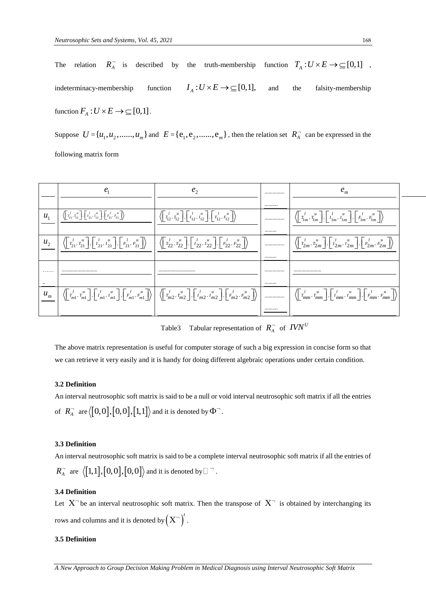The relation  $R_A^-$  is described by the truth-membership function  $T_A: U \times E \to \subseteq [0,1]$ , indeterminacy-membership function  $I_A: U \times E \rightarrow \subseteq [0,1],$ the falsity-membership function  $F_A: U \times E \to \subseteq [0,1]$ .

Suppose  $U = \{u_1, u_2, \ldots, u_m\}$  and  $E = \{e_1, e_2, \ldots, e_m\}$ , then the relation set  $R_A^-$  can be expressed in the following matrix form

|              | $\left\langle \left[ \overline{r}_{11}^l, \overline{r}_{11}^u \right], \left[ \overline{r}_{11}^l, \overline{r}_{11}^u \right], \left[ \overline{r}_{11}^l, \overline{r}_{11}^u \right] \right\rangle$ | $\left\langle \left  \begin{array}{c} t \\ T_{12} \\ T_{12} \end{array} \right , \left  \begin{array}{c} t \\ I_{12} \\ I_{12} \end{array} \right , \left  \begin{array}{c} t \\ F_{12} \\ F_{12} \end{array} \right  \right\rangle$                                                                                                                                                                                                      | <br>$\left\langle \left  \begin{array}{cc} l & u \\ T_{1m} & T_{1m} \end{array} \right , \left  \begin{array}{cc} l & u \\ I_{1m} & I_{1m} \end{array} \right , \left  \begin{array}{cc} l & u \\ F_{1m} & F_{1m} \end{array} \right  \right\rangle$                                                                                                                                                                                                                    |  |
|--------------|--------------------------------------------------------------------------------------------------------------------------------------------------------------------------------------------------------|-------------------------------------------------------------------------------------------------------------------------------------------------------------------------------------------------------------------------------------------------------------------------------------------------------------------------------------------------------------------------------------------------------------------------------------------|-------------------------------------------------------------------------------------------------------------------------------------------------------------------------------------------------------------------------------------------------------------------------------------------------------------------------------------------------------------------------------------------------------------------------------------------------------------------------|--|
|              |                                                                                                                                                                                                        |                                                                                                                                                                                                                                                                                                                                                                                                                                           |                                                                                                                                                                                                                                                                                                                                                                                                                                                                         |  |
| $u_{\gamma}$ |                                                                                                                                                                                                        | $\left\langle \left\lceil \frac{l}{T_{21}}, \frac{u}{T_{21}} \right\rceil, \left\lceil \frac{l}{T_{21}}, \frac{u}{T_{21}} \right\rceil, \left\lceil \frac{l}{T_{21}}, \frac{u}{T_{21}} \right\rceil \right\rangle \quad \left\langle \left\lceil \frac{l}{T_{22}}, \frac{u}{T_{22}} \right\rceil, \left\lceil \frac{l}{T_{22}}, \frac{u}{T_{22}} \right\rceil, \left\lceil \frac{l}{T_{22}}, \frac{u}{T_{22}} \right\rceil \right\rangle$ | <br>$\langle \vert \vec{r}_{2m}^{l}, \vec{r}_{2m}^{u} \vert, \vert \vec{r}_{2m}^{l}, \vec{r}_{2m}^{u} \vert, \vert \vec{r}_{2m}^{l}, \vec{r}_{2m}^{u} \vert \rangle$                                                                                                                                                                                                                                                                                                    |  |
|              |                                                                                                                                                                                                        |                                                                                                                                                                                                                                                                                                                                                                                                                                           |                                                                                                                                                                                                                                                                                                                                                                                                                                                                         |  |
| .            |                                                                                                                                                                                                        |                                                                                                                                                                                                                                                                                                                                                                                                                                           | <br>                                                                                                                                                                                                                                                                                                                                                                                                                                                                    |  |
| $\cdot$ .    |                                                                                                                                                                                                        |                                                                                                                                                                                                                                                                                                                                                                                                                                           |                                                                                                                                                                                                                                                                                                                                                                                                                                                                         |  |
| $u_m$        |                                                                                                                                                                                                        |                                                                                                                                                                                                                                                                                                                                                                                                                                           | $\left\langle \begin{bmatrix} l \\ T_{m1}^l, T_{m1}^u \end{bmatrix}, \begin{bmatrix} l \\ T_{m1}^l, I_{m1}^u \end{bmatrix}, \begin{bmatrix} l \\ F_{m1}^l, F_{m1}^u \end{bmatrix} \right\rangle \right\rangle \\ \left\langle \begin{bmatrix} l \\ T_{m2}^l, T_{m2}^u \end{bmatrix}, \begin{bmatrix} l \\ I_{m2}^l, I_{m2}^u \end{bmatrix}, \begin{bmatrix} l \\ F_{m2}^l, F_{m2}^u \end{bmatrix} \right\rangle \\ \left\langle \begin{bmatrix} l \\ T_{mm}^l, T_{mm}^$ |  |
|              |                                                                                                                                                                                                        |                                                                                                                                                                                                                                                                                                                                                                                                                                           |                                                                                                                                                                                                                                                                                                                                                                                                                                                                         |  |

Table3 Tabular representation of  $R_A^-$  of  $IVN^U$ 

The above matrix representation is useful for computer storage of such a big expression in concise form so that we can retrieve it very easily and it is handy for doing different algebraic operations under certain condition.

## **3.2 Definition**

An interval neutrosophic soft matrix is said to be a null or void interval neutrosophic soft matrix if all the entries of  $R_{\scriptscriptstyle{A}}^{\scriptscriptstyle{-}}$  are  $\langle [0,0],[0,0],[1,1]\rangle$  and it is denoted by  $\Phi^{\scriptscriptstyle{-}}$ .

## **3.3 Definition**

An interval neutrosophic soft matrix is said to be a complete interval neutrosophic soft matrix if all the entries of  $R_A^-$  are  $\langle [1,1],[0,0],[0,0]\rangle$  and it is denoted by  $\square$   $\overline{\phantom{a}}$ .

## **3.4 Definition**

Let  $X^-$  be an interval neutrosophic soft matrix. Then the transpose of  $X^-$  is obtained by interchanging its rows and columns and it is denoted by  $(X^-)^t$  .

## **3.5 Definition**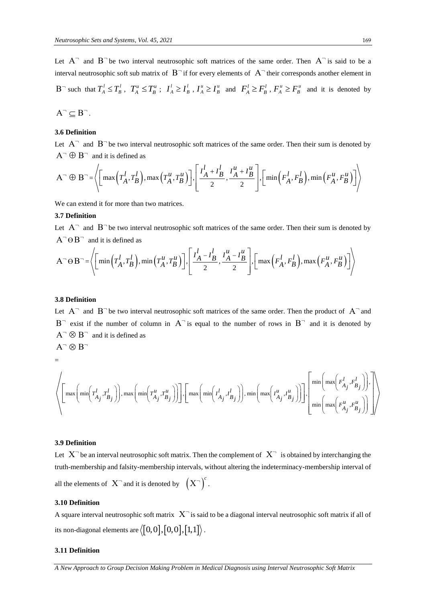Let  $A^-$  and  $B^-$  be two interval neutrosophic soft matrices of the same order. Then  $A^-$  is said to be a interval neutrosophic soft sub matrix of  $B^-$  if for every elements of  $A^-$  their corresponds another element in  $B^-$  such that  $T_A^l \leq T_B^l$ ,  $T_A^u \leq T_B^u$ ;  $I_A^l \geq I_B^l$ ,  $I_A^u \geq I_B^u$  and  $F_A^l \geq F_B^l$ ,  $F_A^u \geq F_B^u$  and it is denoted by  $A^{\neg} \subseteq B^{\neg}$ .

$$
\mathcal{L}^{\mathcal{L}}(\mathcal{L}^{\mathcal{L}}(\mathcal{L}))
$$

## **3.6 Definition**

 $A^- \oplus B^-$  and it is defined as

Let A<sup>-</sup> and B<sup>-</sup> be two interval neutrosophic soft matrices of the same order. Then their sum is denoted by  
A<sup>-</sup> 
$$
\oplus
$$
 B<sup>-</sup> and it is defined as  
A<sup>-</sup>  $\oplus$  B<sup>-</sup> =  $\left\langle \left[ \max \left( T_A^l, T_B^l \right), \max \left( T_A^u, T_B^u \right) \right], \left[ \frac{I_A^l + I_B^l}{2}, \frac{I_A^u + I_B^u}{2} \right], \left[ \min \left( F_A^l, F_B^l \right), \min \left( F_A^u, F_B^u \right) \right] \right\rangle$ 

We can extend it for more than two matrices.

## **3.7 Definition**

 $A^- \Theta B^-$  and it is defined as

Let A<sup>-</sup> and B<sup>-</sup> be two interval neutrosophic soft matrices of the same order. Then their sum is denoted by A<sup>-</sup> 
$$
\Theta
$$
 B<sup>-</sup> and it is defined as  
A<sup>-</sup>  $\Theta$  B<sup>-</sup> =  $\left\langle \left[ min\left(T_A^l, T_B^l\right), min\left(T_A^u, T_B^u\right) \right], \left[\frac{I_A^l - I_B^l}{2}, \frac{I_A^u - I_B^u}{2}\right], \left[ max\left(F_A^l, F_B^l\right), max\left(F_A^u, F_B^u\right) \right] \right\rangle$ 

## **3.8 Definition**

Let  $A^-$  and  $B^-$  be two interval neutrosophic soft matrices of the same order. Then the product of  $A^-$  and  $B^-$  exist if the number of column in  $A^-$  is equal to the number of rows in  $B^-$  and it is denoted by  $A^- \otimes B^-$  and it is defined as  $A^{\neg} \otimes B^{\neg}$ 

$$
\equiv
$$

A 
$$
\otimes
$$
 B and it is defined as  
\nA<sup>-</sup>  $\otimes$  B<sup>-</sup>  
\n=  
\n
$$
\left\{\left[\max\left(\min\left(T_{A_j}^l, T_{B_j}^l\right)\right), \max\left(\min\left(T_{A_j}^u, T_{B_j}^u\right)\right)\right], \left[\max\left(\min\left(I_{A_j}^l, I_{B_j}^l\right)\right), \min\left(\max\left(I_{A_j}^u, I_{B_j}^u\right)\right)\right], \left[\min\left(\max\left(F_{A_j}^l, F_{B_j}^l\right)\right)\right]\right\}
$$

## **3.9 Definition**

Let  $X^-$  be an interval neutrosophic soft matrix. Then the complement of  $X^-$  is obtained by interchanging the truth-membership and falsity-membership intervals, without altering the indeterminacy-membership interval of all the elements of  $X^-$  and it is denoted by  $(X^-)^c$ .

## **3.10 Definition**

A square interval neutrosophic soft matrix  $X^-$  is said to be a diagonal interval neutrosophic soft matrix if all of its non-diagonal elements are  $\langle \bm{\left[0,0\right]}, \bm{\left[0,0\right]}, \bm{\left[1,1\right]}\rangle$  .

## **3.11 Definition**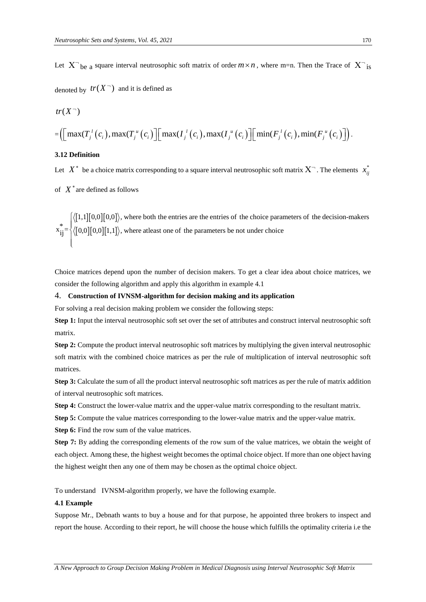Let  $X^-$ <sub>be a</sub> square interval neutrosophic soft matrix of order  $m \times n$ , where m=n. Then the Trace of  $X^-$ <sub>is</sub>

denoted by  $tr(X^-)$  and it is defined as

$$
tr(X^-)
$$
  
=
$$
\left(\left[\max(T_j^l(c_i),\max(T_j^u(c_i))\right]\left[\max(T_j^l(c_i),\max(T_j^u(c_i))\right]\left[\min(F_j^l(c_i),\min(F_j^u(c_i))\right]\right).
$$

## **3.12 Definition**

 $tr(X^{\neg})$ 

Let  $X^*$  be a choice matrix corresponding to a square interval neutrosophic soft matrix  $X^-$ . The elements  $x^*_{ij}$ 

of  $X^*$  are defined as follows

 $[1,1][0,0][0,0]$  $X^*$  are defined as follows<br>  $X^* = \left\{ \left\langle [1,1][0,0][0,0] \right\rangle, \text{ where both the entries are the entries of the choice parameters of the decision-makers} \right\}$ <br>  $X^* = \left\{ \left\langle [0,0][0,0][1,1] \right\rangle, \text{ where at least one of the parameters be not under choice} \right\}$  $x_{ij}^* = \begin{cases} \langle [1,1][0,0][0,0] \rangle, \text{ where both the entries are the entries of the choice para} \\ \langle [0,0][0,0][1,1] \rangle, \text{ where at least one of the parameters be not under choice} \end{cases}$  $\left\lceil \cdot \right\rceil$  $\left\{\right\}$  $\mathbf{I}$  $\overline{a}$ 

Choice matrices depend upon the number of decision makers. To get a clear idea about choice matrices, we consider the following algorithm and apply this algorithm in example 4.1

#### 4. **Construction of IVNSM-algorithm for decision making and its application**

For solving a real decision making problem we consider the following steps:

**Step 1:** Input the interval neutrosophic soft set over the set of attributes and construct interval neutrosophic soft matrix.

**Step 2:** Compute the product interval neutrosophic soft matrices by multiplying the given interval neutrosophic soft matrix with the combined choice matrices as per the rule of multiplication of interval neutrosophic soft matrices.

**Step 3:** Calculate the sum of all the product interval neutrosophic soft matrices as per the rule of matrix addition of interval neutrosophic soft matrices.

**Step 4:** Construct the lower-value matrix and the upper-value matrix corresponding to the resultant matrix.

**Step 5:** Compute the value matrices corresponding to the lower-value matrix and the upper-value matrix.

**Step 6:** Find the row sum of the value matrices.

**Step 7:** By adding the corresponding elements of the row sum of the value matrices, we obtain the weight of each object. Among these, the highest weight becomes the optimal choice object. If more than one object having the highest weight then any one of them may be chosen as the optimal choice object.

To understand IVNSM-algorithm properly, we have the following example.

## **4.1 Example**

Suppose Mr., Debnath wants to buy a house and for that purpose, he appointed three brokers to inspect and report the house. According to their report, he will choose the house which fulfills the optimality criteria i.e the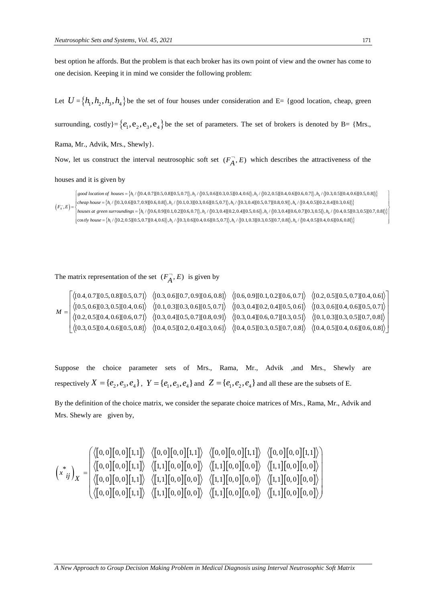best option he affords. But the problem is that each broker has its own point of view and the owner has come to one decision. Keeping it in mind we consider the following problem:

Let  $U = \{h_1, h_2, h_3, h_4\}$  be the set of four houses under consideration and E= {good location, cheap, green

surrounding, costly}= { $e_1, e_2, e_3, e_4$ } be the set of parameters. The set of brokers is denoted by B= {Mrs.,

Rama, Mr., Advik, Mrs., Shewly}.

Now, let us construct the interval neutrosophic soft set  $(F_A^-, E)$  which describes the attractiveness of the

houses and it is given by

Now, let us construct the interval neutrosophic soft set  $(F_A^-, E)$  which describes the attractiveness of the<br>houses and it is given by<br> $\begin{cases} \text{good location of houses} = \{h_1/\{[0.4, 0.7][0.5, 0.8][0.5, 0.7]\}, h_2/\{[0.5, 0.6][0.3, 0.5][0.4, 0.6]\}, h_$  $\{h_i/\langle [0.4, 0.7][0.5, 0.8][0.5, 0.7]\rangle, h_i/\langle [0.5, 0.6][0.3, 0.5][0.4, 0.6]\rangle, h_i/\langle [0.2, 0.5][0.4, 0.6][0.6, 0.7]\rangle, h_4/\langle [0.3, 0.5][0.4, 0.6][0.5, 0.8]\rangle\}$ **(b)**<br> **(b)**<br> **(d)**<br> **(d)**<br> **(d)**<br> **(d)**<br> **(d)**<br> **(d)**<br> **(d)**<br> **(d)**<br> **(d)**<br> **(d)**<br> **(d)**<br> **(d)**<br> **(d)**<br> **(d)**<br> **(d)**<br> **(d)**<br> **(d)**<br> **(d)**<br> **(d)**<br> **(d)**<br> **(d)**<br> **(d)**<br> **(d)**<br> **(d)**<br> **(d)**<br> **(d)**<br> **(d)**<br> **(d)**<br> **(d)**<br> **(d)** *good location of houses* =  $\{h_1/\{0.4, 0.7\}[0.5, 0.8\}[0.5, 0.7]\}$ ,  $h_2/\{0.5, 0.6\}[0.3, 0.5\}[0.4, 0.6]\}$ ,  $h_3/\{0.2, 0.5\}[0.4, 0.6\}[0.6, 0.7]\}$ ,  $h_4/\{0.3, 0.5\}[0.4, 0.6\}[0.6, 0.7]\}$ <br> *good location of houses* =  $\{h_1/\$  $=$   $\{$ S and It is given by<br>  ${36}$ <br>  ${36}$ <br>  ${36}$ <br>  ${36}$ <br>  ${36}$ <br>  ${36}$ <br>  ${36}$ <br>  ${36}$ <br>  ${36}$ <br>  ${36}$ <br>  ${36}$ <br>  ${36}$ <br>  ${36}$ <br>  ${36}$ <br>  ${36}$ <br>  ${36}$ <br>  ${36}$ <br>  ${36}$ <br>  ${36}$ <br>  ${36}$ <br>  ${36}$ <br>  ${36}$ <br>  ${36}$ <br>  ${36}$ <br>  ${36}$ <br> ETVAL neutrosophic soft set  $(F_A, E)$  which describes the attractiveness<br>  $(4.4.0.7][0.5, 0.8][0.5, 0.7]), h_2$  /  $\langle [0.5, 0.6][0.3, 0.5][0.4, 0.6]), h_3$  /  $\langle [0.2, 0.5][0.4, 0.6][0.6, 0.7]), h_4$  /  $\langle [0.3, 0.5][0.4, 0.9][0.6, 0.8]), h_2$  / 4,0.7][0.5,0.8][0.5,0.7]),  $h_2$  /  $\{[0.5,0.6][0.3,0.5][0.4,0.6]\}$ ,  $h_3$  /  $\{[0.2,0.5][0.4,0.6][0.6,0.7]\}$ ,  $h_3$  /  $\{[0.6,0.8]\}$ ,  $h_2$  /  $\{[0.1,0.3][0.3,0.6][0.5,0.7]\}$ ,  $h_3$  /  $\{[0.3,0.4][0.5,0.7][0.8,0.9]\}$ ,  $h_4$  /  $\$ *A , E )* which describes<br>  $5|[0.4, 0.6]\rangle, h_3 / ([0.2, 0.5][0.4, 0.6]]$ <br>  $h_3 / ([0.3, 0.4][0.5, 0.7][0.8, 0.9])$ ,  $h_4$ <br>  $h_2, 0.4|[0.5, 0.6]\rangle, h_3 / ([0.3, 0.4][0.6, 0.6])$ **and it is given by**<br> **good** location of houses = {h<sub>1</sub>/{[0.4,0.7][0.5,0.8][0.5,0.7]), h<sub>2</sub>/{[0.5,0.6][0.3,0.5][0.4,0.6]), h<sub>3</sub>/([0.2,0.5][0.4,0.6][0.6,0.7]), h<sub>4</sub>/{[0.3,0.5][0.4,0.6][0.5,0.8])}<br>
cheap house = {h<sub>1</sub>/{[0.3  $\vert \cos{t} \rangle$  house = { $h_1 / \langle [0.2, 0.5][0.5, 0.7][0.4, 0.6] \rangle$ ,  $h_2 / \langle [0.3, 0.6][0.4, 0.6][0.5, 0.7] \rangle$ ,  $h_3 / \langle [0.1, 0.3][0.3, 0.5][0.7, 0.8] \rangle$ ,  $h_4 / \langle [0.4, 0.5][0.4, 0.6][0.6, 0.8] \rangle$ 4 **en by**<br>
houses = { $h_1$  / {[0.4,0.7][0.5,0.8][0.5,0.7]),  $h_2$  / {[0.5,0.6][0.3,0.5][0.4,0.6]),  $h_3$  / {[0.2,0.5][0.4,0.6][0.6,0.7]),  $h_4$  / {[0.3,0.5][0.4,0.6][0.5,0.8])}<br>
i<sub>1</sub> / {[0.3,0.6][0.7,0.9][0.6,0.8]),  $h_2$  / and it is given by<br>
good location of houses = {h<sub>1</sub>/{[0.4,0.7][0.5,0.8][0.5,0.7]), h<sub>2</sub>/{[0.5,0.6][0.3,0.5][0.4,0.6]), h<sub>3</sub>/{[0.2,0.5][0.4,0.6][0.6,0.7]), h<sub>4</sub>/{[0.3,0.5][0.4,0.<br>
cheap house = {h<sub>1</sub>/{[0.3,0.6][0.7,0.9][0. *h* **1** it is given by<br> *d* location of houses = { $h_1$  / {[0.4,0.7][0.5,0.8][0.5,0.7]),  $h_2$  / {[0.5,0.6][0.3,0.5][0.4,0.6]),  $h_3$  / {[0.2,0.5][0.4,0.6]]<br> *ap house* = { $h_1$  / {[0.3,0.6][0.7,0.9][0.6,0.8]),  $h_2$  / {[0.1, et us construct the interval neutrosophic soft set  $(F_A^-, E)$  which describes the attractiveness of the<br>and it is given by<br> $\begin{Bmatrix} good\ location\ of\ house = \{h_i/(0.4, 0.7|0.5, 0.8|0.5, 0.7)\}, h_2/(0.5, 0.6|0.3, 0.5|0.4, 0.6]\}, h_3/(0.2, 0.5|0.4, 0.$ 

The matrix representation of the set 
$$
(F_A^-, E)
$$
 is given by  
\n
$$
M = \begin{bmatrix} \langle [0.4, 0.7][0.5, 0.8][0.5, 0.7] \rangle & \langle [0.3, 0.6][0.7, 0.9][0.6, 0.8] \rangle & \langle [0.6, 0.9][0.1, 0.2][0.6, 0.7] \rangle & \langle [0.2, 0.5][0.5, 0.7][0.4, 0.6] \rangle \\ \langle [0.5, 0.6][0.3, 0.5][0.4, 0.6] \rangle & \langle [0.1, 0.3][0.3, 0.6][0.5, 0.7] \rangle & \langle [0.3, 0.4][0.2, 0.4][0.5, 0.6] \rangle & \langle [0.3, 0.6][0.4, 0.6][0.5, 0.7] \rangle \\ \langle [0.2, 0.5][0.4, 0.6][0.6, 0.7] \rangle & \langle [0.3, 0.4][0.5, 0.9] \rangle & \langle [0.3, 0.4][0.6, 0.7][0.3, 0.5] \rangle & \langle [0.1, 0.3][0.3, 0.5][0.7, 0.8] \rangle \\ \langle [0.3, 0.5][0.4, 0.6][0.5, 0.8] \rangle & \langle [0.4, 0.5][0.2, 0.4][0.3, 0.6] \rangle & \langle [0.4, 0.5][0.3, 0.5][0.7, 0.8] \rangle & \langle [0.4, 0.5][0.4, 0.6][0.6, 0.8] \rangle \end{bmatrix}
$$

Suppose the choice parameter sets of Mrs., Rama, Mr., Advik ,and Mrs., Shewly are respectively  $X = \{e_2, e_3, e_4\}$ ,  $Y = \{e_1, e_3, e_4\}$  and  $Z = \{e_1, e_2, e_4\}$  and all these are the subsets of E.

By the definition of the choice matrix, we consider the separate choice matrices of Mrs., Rama, Mr., Advik and Mrs. Shewly are given by,

$$
\begin{pmatrix}\n\begin{pmatrix}\n\langle [0,0][0,0][1,1]\n\end{pmatrix} & \langle [0,0][0,0][1,1]\n\end{pmatrix} & \langle [0,0][0,0][1,1]\n\end{pmatrix} & \langle [0,0][0,0][1,1]\n\end{pmatrix} \\
\begin{pmatrix}\n\begin{pmatrix}\n\langle [0,0][0,0][1,1]\n\end{pmatrix} & \langle [1,1][0,0][0,0]\n\end{pmatrix} & \langle [1,1][0,0][0,0]\n\end{pmatrix} & \langle [1,1][0,0][0,0]\n\end{pmatrix} & \langle [1,1][0,0][0,0]\n\end{pmatrix} & \langle [1,1][0,0][0,0]\n\end{pmatrix} & \langle [1,1][0,0][0,0]\n\end{pmatrix} & \langle [1,1][0,0][0,0]\n\end{pmatrix}
$$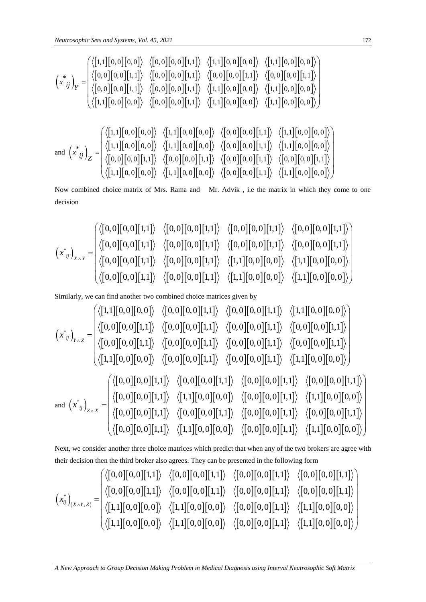1,1 0, 0 0, 0 0, 0 0, 0 1,1 1,1 0, 0 0, 0 1,1 0, 0 0, 0 0, 0 0, 0 1,1 0, 0 0, 0 1,1 0, 0 0, 0 1,1 0, 0 0, 0 1,1 \* 0, 0 0, 0 1,1 0, 0 0, 0 1,1 1,1 0, 0 0, 0 1,1 0, 0 0, 0 1,1 0, 0 0, 0 0, 0 0, 0 1,1 1,1 0, 0 0, 0 1,1 0, 0 0, 0 *x ij Y* and 1,1 0, 0 0, 0 1,1 0, 0 0, 0 0, 0 0, 0 1,1 1,1 0, 0 0, 0 1,1 0, 0 0, 0 1,1 0, 0 0, 0 0, 0 0, 0 1,1 1,1 0, 0 0, 0 \* 0, 0 0, 0 1,1 0, 0 0, 0 1,1 0, 0 0, 0 1,1 0, 0 0, 0 1,1 1,1 0, 0 0, 0 1,1 0, 0 0, 0 0, 0 0, 0 1,1 1,1 0, 0 0, 0 *x ij Z* 

Now combined choice matrix of Mrs. Rama and Mr. Advik , i.e the matrix in which they come to one decision

Now combined choice matrix of Mrs. Rama and Mr. Advik, i.e the matrix in which they come to one decision\n\ndecision\n
$$
\begin{pmatrix}\n\langle [0,0][0,0][1,1] \rangle & \langle [0,0][0,0][1,1] \rangle & \langle [0,0][0,0][1,1] \rangle & \langle [0,0][0,0][1,1] \rangle \\
\langle [0,0][0,0][1,1] \rangle & \langle [0,0][0,0][1,1] \rangle & \langle [0,0][0,0][1,1] \rangle & \langle [0,0][0,0][1,1] \rangle \\
\langle [0,0][0,0][1,1] \rangle & \langle [0,0][0,0][1,1] \rangle & \langle [1,1][0,0][0,0] \rangle & \langle [1,1][0,0][0,0] \rangle \\
\langle [0,0][0,0][1,1] \rangle & \langle [0,0][0,0][1,1] \rangle & \langle [1,1][0,0][0,0] \rangle & \langle [1,1][0,0][0,0] \rangle\n\end{pmatrix}
$$

Similarly, we can find another two combined choice matrices given by

$$
(x_{ij})_r = \begin{cases}\n\langle [0,0][0,0][1,1]\rangle & \langle [0,0][0,0][1,1]\rangle & \langle [0,0][0,0][1,1]\rangle \\
\langle [1,1][0,0][0,0][1,1]\rangle & \langle [0,0][0,0][1,1]\rangle & \langle [0,0][0,0][1,1]\rangle \\
\langle [1,1][0,0][0,0][1,1]\rangle & \langle [0,0][0,0][1,1]\rangle & \langle [0,0][0,0][1,1]\rangle\n\end{cases}
$$
\nand  $(x_{ij})_z = \begin{cases}\n\langle [0,0][0,0][1,1]\rangle & \langle [0,0][0,0][1,1]\rangle & \langle [0,0][0,0][1,1]\rangle \\
\langle [0,0][0,0][0,0][1,1]\rangle & \langle [0,0][0,0][1,1]\rangle & \langle [0,0][0,0][1,1]\rangle \\
\langle [0,0][0,0][0,0][1,1]\rangle & \langle [0,0][0,0][1,1]\rangle & \langle [0,0][0,0][1,1]\rangle \\
\langle [0,0][0,0][0,1]\rangle & \langle [0,0][0,0][1,1]\rangle & \langle [0,0][0,0][1,1]\rangle & \langle [0,0][0,0][1,1]\rangle \\
\langle [0,0][0,0][0,1]\rangle & \langle [0,0][0,0][1,1]\rangle & \langle [0,0][0,0][1,1]\rangle & \langle [0,0][0,0][1,1]\rangle \\
\langle [0,0][0,0][1,1]\rangle & \langle [0,0][0,0][1,1]\rangle & \langle [0,0][0,0][1,1]\rangle & \langle [0,0][0,0][1,1]\rangle \\
\langle [0,0][0,0][1,1]\rangle & \langle [0,0][0,0][1,1]\rangle & \langle [0,0][0,0][1,1]\rangle & \langle [0,0][0,0][1,1]\rangle \\
\langle [0,0][0,0][1,1]\rangle & \langle [0,0][0,0][1,1]\rangle & \langle [0,0][0,0][1,1]\rangle & \langle [0,0][0,0][1,1]\rangle \\
\langle [0,0][0,0][1,1]\rangle & \langle [0,0][0,0][1,1]\rangle & \langle [0,0][0,0][1,1]\rangle & \langle [0,0][0$ 

Next, we consider another three choice matrices which predict that when any of the two brokers are agree with

Next, we consider another three choice matrices which predict that when any of the two brothers are agree with their decision then the third broken also agrees. They can be presented in the following form\n
$$
\begin{pmatrix}\n\langle [0,0][0,0][1,1]\rangle & \langle [0,0][0,0][1,1]\rangle & \langle [0,0][0,0][1,1]\rangle & \langle [0,0][0,0][1,1]\rangle \\
\langle [0,0][0,0][1,1]\rangle & \langle [0,0][0,0][1,1]\rangle & \langle [0,0][0,0][1,1]\rangle & \langle [0,0][0,0][1,1]\rangle \\
\langle [1,1][0,0][0,0]\rangle & \langle [1,1][0,0][0,0]\rangle & \langle [0,0][0,0][1,1]\rangle & \langle [1,1][0,0][0,0]\rangle \\
\langle [1,1][0,0][0,0]\rangle & \langle [1,1][0,0][0,0]\rangle & \langle [0,0][0,0][1,1]\rangle & \langle [1,1][0,0][0,0]\rangle\n\end{pmatrix}
$$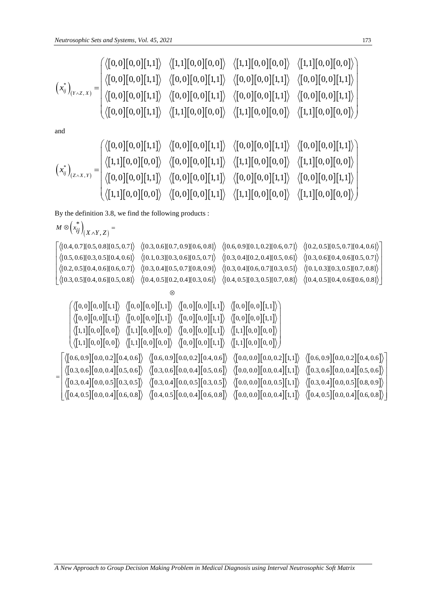| Neutrosophic Sets and Systems, Vol. 45, 2021                                                                                                                                                                                                                                                                                                                                                                                                                                                                                                                                                                                                                                                                                                                                                                                                                                                                                                                                                                                                                       | 173 |
|--------------------------------------------------------------------------------------------------------------------------------------------------------------------------------------------------------------------------------------------------------------------------------------------------------------------------------------------------------------------------------------------------------------------------------------------------------------------------------------------------------------------------------------------------------------------------------------------------------------------------------------------------------------------------------------------------------------------------------------------------------------------------------------------------------------------------------------------------------------------------------------------------------------------------------------------------------------------------------------------------------------------------------------------------------------------|-----|
| \n $\left(\begin{bmatrix}\n a_{ij}\n b_{(i)}\n c_{(i)}\n c_{(j)}\n c_{(j)}\n c_{(j)}\n c_{(j)}\n c_{(j)}\n c_{(j)}\n c_{(j)}\n c_{(j)}\n c_{(j)}\n c_{(j)}\n c_{(j)}\n c_{(j)}\n c_{(j)}\n c_{(j)}\n c_{(j)}\n c_{(j)}\n c_{(j)}\n c_{(j)}\n c_{(j)}\n c_{(j)}\n c_{(j)}\n c_{(j)}\n c_{(j)}\n c_{(j)}\n c_{(j)}\n c_{(j)}\n c_{(j)}\n c_{(j)}\n c_{(j)}\n c_{(j)}\n c_{(j)}\n c_{(j)}\n c_{(j)}\n c_{(j)}\n c_{(j)}\n c_{(j)}\n c_{(j)}\n c_{(j)}\n c_{(j)}\n c_{(j)}\n c_{(j)}\n c_{(j)}\n c_{(j)}\n c_{(j)}\n c_{(j)}\n c_{(j)}\n c_{(j)}\n c_{(j)}\n c_{(j)}\n c_{(j)}\n c_{(j)}\n c_{(j)}\n c_{(j)}\n c_{(j)}\n c_{(j)}\n c_{(j)}\n c_{(j)}\n c_{(j)}\n c_{(j)}\n c_{(j)}\n c_{(j)}\n c_{(j)}\n c_{(j)}\n c_{(j)}\n c_{(j)}\n c_{(j)}\n c_{(j)}\n c_{(j)}\n c_{(j)}\n c_{(j)}\n c_{(j)}\n c_{(j)}\n c_{(j)}\n c_{(j)}\n c_{(j)}\n c_{(j)}\n c_{(j)}\n c_{(j)}\n c_{(j)}\n c_{(j)}\n c_{(j)}\n c_{(j)}\n c_{(j)}\n c_{(j)}\n c_{(j)}\n c_{(j)}\n c_{(j)}\n c_{(j)}\n c_{(j)}\n c_{(j)}\n c_{(j)}\n c_{(j)}\n c_{(j)}\n c_{(j)}\n c_{(j)}\n c_{(j)}\n c_{(j)}\$ |     |

By the definition 3.8, we find the following products :

$$
\langle \langle [1,1][0,0][0,0] \rangle \langle [0,0][1,1] \rangle \langle [1,1][0,0][0,0] \rangle \langle [1,1][0,0][0,0] \rangle \rangle
$$
\nBy the definition 3.8, we find the following products:\n
$$
M \otimes \begin{pmatrix} * \\ *ij \end{pmatrix}_{(X \wedge Y, Z)} = \n\begin{bmatrix} \langle [0.4, 0.7][0.5, 0.8][0.5, 0.7] \rangle & \langle [0.3, 0.6][0.7, 0.9][0.6, 0.8] \rangle & \langle [0.6, 0.9][0.1, 0.2][0.6, 0.7] \rangle & \langle [0.2, 0.5][0.5, 0.7][0.4, 0.6] \rangle & \langle [0.1, 0.3][0.3, 0.5][0.5, 0.7] \rangle & \langle [0.3, 0.4][0.2, 0.4][0.5, 0.6] \rangle & \langle [0.3, 0.6][0.4, 0.6][0.5, 0.7] \rangle & \langle [0.3, 0.4][0.5, 0.7] \rangle & \langle [0.3, 0.4][0.6, 0.7] \rangle & \langle [0.3, 0.5][0.4, 0.6][0.5, 0.7] \rangle & \langle [0.3, 0.4][0.5, 0.7][0.3, 0.5] \rangle & \langle [0.4, 0.5][0.4, 0.6][0.5, 0.8] \rangle & \langle [0.4, 0.5][0.4, 0.6][0.5, 0.8] \rangle & \langle [0.4, 0.5][0.4, 0.6] \rangle & \langle [0.4, 0.5][0.0, 0.6] \rangle & \langle [0.4, 0.5][0.0, 0.6] \rangle & \langle [0.4, 0.5][0.0, 0.6] \rangle & \langle [0.4, 0.5][0.0, 0.6] \rangle & \langle [0.4, 0.5][0.0, 0.6] \rangle & \langle [1, 1][0, 0][0, 0] \rangle & \langle [0, 0][1, 1] \rangle & \langle [0, 0][0, 0][1, 1] \rangle & \langle [0, 0][0, 0][1,
$$

 $\vert 1,1 \vert \vert 0,0 \vert \vert 0,0 \vert \rangle$   $\langle \vert 0,0 \vert \vert 0,0 \vert \vert 1,1 \vert \rangle$   $\langle \vert 1,1 \vert \vert 0,0 \vert \vert 0,0 \vert \rangle$   $\langle \vert 1,1 \vert \vert 0,0 \vert \vert 0,0 \vert \vert 1,1 \vert 1 \rangle$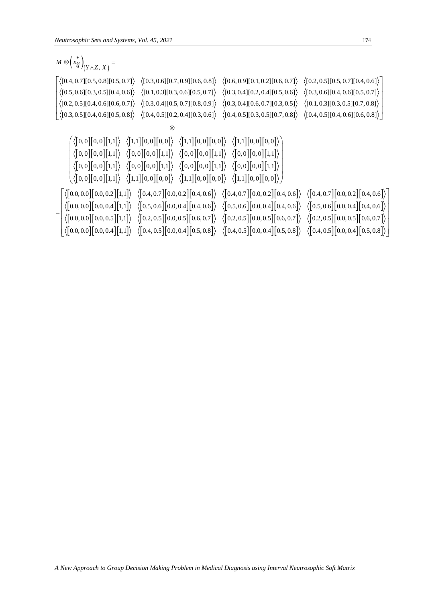| Neutrosophic Sets and Systems, Vol. 45, 2021                                                                                                                                                                                                                                                                                                                                                                                                                                                                                                                                                                                                                                                                                                                                                                                                                                                                                                                                                                                                                                                                                                                                                                                                                                                                                                                                                                                                                                                                                                                                                      | 174 |
|---------------------------------------------------------------------------------------------------------------------------------------------------------------------------------------------------------------------------------------------------------------------------------------------------------------------------------------------------------------------------------------------------------------------------------------------------------------------------------------------------------------------------------------------------------------------------------------------------------------------------------------------------------------------------------------------------------------------------------------------------------------------------------------------------------------------------------------------------------------------------------------------------------------------------------------------------------------------------------------------------------------------------------------------------------------------------------------------------------------------------------------------------------------------------------------------------------------------------------------------------------------------------------------------------------------------------------------------------------------------------------------------------------------------------------------------------------------------------------------------------------------------------------------------------------------------------------------------------|-----|
| $M \otimes (x_{ij}^*)_{(Y \wedge Z, X)} =$                                                                                                                                                                                                                                                                                                                                                                                                                                                                                                                                                                                                                                                                                                                                                                                                                                                                                                                                                                                                                                                                                                                                                                                                                                                                                                                                                                                                                                                                                                                                                        |     |
| $\big  \left\langle [0.4, 0.7][0.5, 0.8][0.5, 0.7] \right\rangle \right. \hspace{1.8mm} \left\langle [0.3, 0.6][0.7, 0.9][0.6, 0.8] \right\rangle \hspace{1.8mm} \left\langle [0.6, 0.9][0.1, 0.2][0.6, 0.7] \right\rangle \hspace{1.8mm} \left\langle [0.2, 0.5][0.5, 0.7][0.4, 0.6] \right\rangle$<br>$\langle [0.5, 0.6][0.3, 0.5][0.4, 0.6]\rangle$ $\langle [0.1, 0.3][0.3, 0.6][0.5, 0.7]\rangle$ $\langle [0.3, 0.4][0.2, 0.4][0.5, 0.6]\rangle$ $\langle [0.3, 0.6][0.4, 0.6][0.5, 0.7]\rangle$<br>$\langle [0.2, 0.5][0.4, 0.6][0.6, 0.7]\rangle$ $\langle [0.3, 0.4][0.5, 0.7][0.8, 0.9]\rangle$ $\langle [0.3, 0.4][0.6, 0.7][0.3, 0.5]\rangle$ $\langle [0.1, 0.3][0.3, 0.5][0.7, 0.8]\rangle$<br>$\big\langle [0.3, 0.5][0.4, 0.6][0.5, 0.8] \big\rangle \quad \big\langle [0.4, 0.5][0.2, 0.4][0.3, 0.6] \big\rangle \quad \big\langle [0.4, 0.5][0.3, 0.5][0.7, 0.8] \big\rangle \quad \big\langle [0.4, 0.5][0.4, 0.6][0.6, 0.8] \big\rangle$                                                                                                                                                                                                                                                                                                                                                                                                                                                                                                                                                                                                                                     |     |
| ⊗                                                                                                                                                                                                                                                                                                                                                                                                                                                                                                                                                                                                                                                                                                                                                                                                                                                                                                                                                                                                                                                                                                                                                                                                                                                                                                                                                                                                                                                                                                                                                                                                 |     |
| $\bigg(\big\langle \begin{bmatrix} 0,0 \end{bmatrix} \begin{bmatrix} 0,0 \end{bmatrix} \begin{bmatrix} 1,1 \end{bmatrix} \big\rangle \big\langle \begin{bmatrix} 1,1 \end{bmatrix} \begin{bmatrix} 0,0 \end{bmatrix} \begin{bmatrix} 0,0 \end{bmatrix} \big\rangle \big\langle \begin{bmatrix} 1,1 \end{bmatrix} \begin{bmatrix} 0,0 \end{bmatrix} \begin{bmatrix} 0,0 \end{bmatrix} \big\rangle \big\langle \begin{bmatrix} 1,1 \end{bmatrix} \begin{bmatrix} 0,0 \end{bmatrix} \begin{bmatrix} 0,0 \end{$<br>$\big\langle \big[0,0\big] \big[0,0\big] \big[1,1\big] \big\rangle \quad \big\langle \big[0,0\big] \big[0,0\big] \big[1,1\big] \big\rangle \quad \big\langle \big[0,0\big] \big[0,0\big] \big[1,1\big] \big\rangle \quad \big\langle \big[0,0\big] \big[0,0\big] \big[1,1\big] \big\rangle$<br>$\left\langle \begin{bmatrix} 0,0 \end{bmatrix} \begin{bmatrix} 0,0 \end{bmatrix} \begin{bmatrix} 1,1 \end{bmatrix} \right\rangle \right. \\ \left\langle \begin{bmatrix} 0,0 \end{bmatrix} \begin{bmatrix} 0,0 \end{bmatrix} \begin{bmatrix} 1,1 \end{bmatrix} \right\rangle \right. \\ \left\langle \begin{bmatrix} 0,0 \end{bmatrix} \begin{bmatrix} 0,0 \end{bmatrix} \begin{bmatrix} 0,0 \end{bmatrix} \begin{bmatrix} 1,1 \end{bmatrix} \right\rangle$<br>$\big\langle \big\{ [0,0] \big[0,0\big] \big[1,1\big] \big\rangle \quad \big\langle \big[1,1\big] \big[0,0\big] \big[0,0\big] \big\rangle \quad \big\langle \big[1,1\big] \big[0,0\big] \big[0,0\big] \big\rangle \quad \big\langle \big[1,1\big] \big[0,0\big] \big[0,0\big] \big\rangle \big\rangle \bigg\rangle$ |     |
| $\langle [0.0, 0.0] [0.0, 0.2] [1,1] \rangle$ $\langle [0.4, 0.7] [0.0, 0.2] [0.4, 0.6] \rangle$ $\langle [0.4, 0.7] [0.0, 0.2] [0.4, 0.6] \rangle$ $\langle [0.4, 0.7] [0.0, 0.2] [0.4, 0.6] \rangle$<br>$\langle [0.0, 0.0] [0.0, 0.4] [1,1] \rangle \langle [0.5, 0.6] [0.0, 0.4] [0.4, 0.6] \rangle \langle [0.5, 0.6] [0.0, 0.4] [0.4, 0.6] \rangle \langle [0.0, 0.0] [0.0, 0.5] [1,1] \rangle \langle [0.2, 0.5] [0.0, 0.5] [0.6, 0.7] \rangle \langle [0.2, 0.5] [0.0, 0.5] [0.6, 0.7] \rangle \langle [0.2, 0.5] [0.0, 0.5] [0.0$<br>$\equiv$<br>$\big  \left\langle \begin{bmatrix} 0.0, 0.0 \end{bmatrix} \begin{bmatrix} 0.0, 0.4 \end{bmatrix} \begin{bmatrix} 1, 1 \end{bmatrix} \right\rangle \big  \left\langle \begin{bmatrix} 0.4, 0.5 \end{bmatrix} \begin{bmatrix} 0.0, 0.4 \end{bmatrix} \begin{bmatrix} 0.5, 0.8 \end{bmatrix} \right\rangle \big  \left\langle \begin{bmatrix} 0.4, 0.5 \end{bmatrix} \begin{bmatrix} 0.0, 0.4 \end{bmatrix} \begin{bmatrix} 0.5, 0.8 \end{bmatrix} \right\rangle \big$                                                                                                                                                                                                                                                                                                                                                                                                                                                                                                                                                                    |     |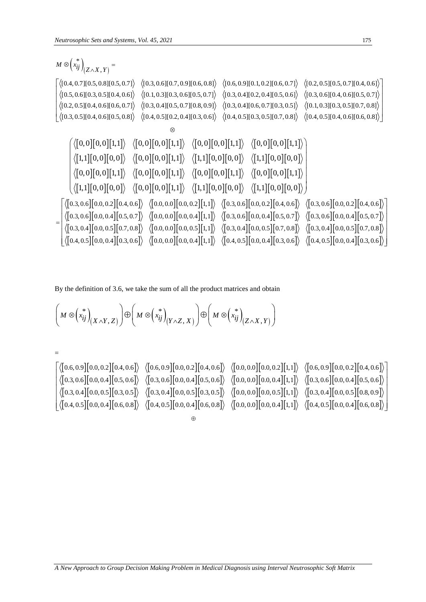| Neutrosophic Sets and Systems, Vol. 45, 2021                                                                                                                                                                                                                                                                                                                                                                                                                                                                                                                                                                                                                                                                                                                                                                                                                                                                                                                                                                                                                                                                                                                                                                                                               | 175 |
|------------------------------------------------------------------------------------------------------------------------------------------------------------------------------------------------------------------------------------------------------------------------------------------------------------------------------------------------------------------------------------------------------------------------------------------------------------------------------------------------------------------------------------------------------------------------------------------------------------------------------------------------------------------------------------------------------------------------------------------------------------------------------------------------------------------------------------------------------------------------------------------------------------------------------------------------------------------------------------------------------------------------------------------------------------------------------------------------------------------------------------------------------------------------------------------------------------------------------------------------------------|-----|
| $M \otimes (x_{ij}^*)_{(Z \wedge X, Y)} =$                                                                                                                                                                                                                                                                                                                                                                                                                                                                                                                                                                                                                                                                                                                                                                                                                                                                                                                                                                                                                                                                                                                                                                                                                 |     |
| $\big  \left\langle [0.4, 0.7][0.5, 0.8][0.5, 0.7] \right\rangle \hspace{1.25cm} \left\langle [0.3, 0.6][0.7, 0.9][0.6, 0.8] \right\rangle \hspace{1.25cm} \left\langle [0.6, 0.9][0.1, 0.2][0.6, 0.7] \right\rangle \hspace{1.25cm} \left\langle [0.2, 0.5][0.5, 0.7][0.4, 0.6] \right\rangle$<br>$\langle [0.5, 0.6][0.3, 0.5][0.4, 0.6]\rangle$ $\langle [0.1, 0.3][0.3, 0.6][0.5, 0.7]\rangle$ $\langle [0.3, 0.4][0.2, 0.4][0.5, 0.6]\rangle$ $\langle [0.3, 0.6][0.4, 0.6][0.5, 0.7]\rangle$<br>$\langle [0.2, 0.5][0.4, 0.6][0.6, 0.7]\rangle$ $\langle [0.3, 0.4][0.5, 0.7][0.8, 0.9]\rangle$ $\langle [0.3, 0.4][0.6, 0.7][0.3, 0.5]\rangle$ $\langle [0.1, 0.3][0.3, 0.5][0.7, 0.8]\rangle$<br>$\big  \left\langle [0.3, 0.5] [0.4, 0.6] [0.5, 0.8] \right\rangle \big  \left\langle [0.4, 0.5] [0.2, 0.4] [0.3, 0.6] \right\rangle \big  \left\langle [0.4, 0.5] [0.3, 0.5] [0.7, 0.8] \right\rangle \big  \left\langle [0.4, 0.5] [0.4, 0.6] [0.6, 0.8] \right\rangle$                                                                                                                                                                                                                                                                         |     |
| $\begin{array}{lll} \bigl\langle \bigl[0,0\bigr] \bigl[0,0\bigr] \bigl[1,1\bigr] \bigr\rangle & \bigl\langle \bigl[0,0\bigr] \bigl[0,0\bigr] \bigl[1,1\bigr] \bigr\rangle & \bigl\langle \bigl[0,0\bigr] \bigl[0,0\bigr] \bigl[1,1\bigr] \bigr\rangle & \bigl\langle \bigl[0,0\bigr] \bigl[0,0\bigr] \bigl[1,1\bigr] \bigr\rangle \end{array}$<br>$\langle [1,1][0,0][0,0] \rangle \quad \langle [0,0][0,0][1,1] \rangle \quad \langle [1,1][0,0][0,0] \rangle \quad \langle [1,1][0,0][0,0] \rangle$<br>$\langle [0,0][0,0][1,1] \rangle \langle [0,0][0,0][1,1] \rangle \langle [0,0][0,0][1,1] \rangle \langle [0,0][0,0][1,1] \rangle$<br>$\left\langle \big\{ [1,1] \big[ 0,0 \big] \big[ 0,0 \big] \right\rangle \right. \hspace{3mm} \left\langle \big[ 0,0 \big] \big[ 0,0 \big] \big[ 1,1 \big] \right\rangle \hspace{3mm} \left\langle \big[ 1,1 \big] \big[ 0,0 \big] \big[ 0,0 \big] \right\rangle \hspace{3mm} \left\langle \big[ 1,1 \big] \big[ 0,0 \big] \big[ 0,0 \big] \right\rangle \hspace{3mm}$                                                                                                                                                                                                                                       |     |
| $\big\{\big\{0.3,0.6\big\}[0.0,0.2]\big[0.4,0.6\big]\big\}\ \ \big\langle \big[0.0,0.0\big]\big[0.0,0.2\big]\big[1,1\big]\big\rangle\ \ \big\langle \big[0.3,0.6\big]\big[0.0,0.2\big]\big[0.4,0.6\big]\big\rangle\ \ \big\langle \big[0.3,0.6\big]\big[0.0,0.2\big]\big[0.4,0.6\big]\big\rangle\ \ \big\langle \big[0.0,0.2\big]\big[0.4,0.6\big]\big\rangle\ \ \big\langle \big[0.0$<br>$\bigg \langle\begin{bmatrix} 0.3, 0.6\big] [0.0, 0.4\big] [0.5, 0.7\big]\rangle & \langle\begin{bmatrix} 0.0, 0.0\big] [0.0, 0.4\big] [1, 1\big]\rangle & \langle\begin{bmatrix} 0.3, 0.6\big] [0.0, 0.4\big] [0.5, 0.7\big]\rangle & \langle\begin{bmatrix} 0.3, 0.6\big] [0.0, 0.4\big] [0.5, 0.7\big]\rangle \end{bmatrix}\rangle \end{bmatrix}\rangle\bigg \langle\begin{bmatrix} 0.3, 0.4\big] [$<br>$\big  \left\langle \begin{bmatrix} 0.4, 0.5 \end{bmatrix} \begin{bmatrix} 0.0, 0.4 \end{bmatrix} \begin{bmatrix} 0.3, 0.6 \end{bmatrix} \right\rangle \hspace{0.2cm} \left\langle \begin{bmatrix} 0.0, 0.0 \end{bmatrix} \begin{bmatrix} 0.0, 0.4 \end{bmatrix} \begin{bmatrix} 1, 1 \end{bmatrix} \right\rangle \hspace{0.2cm} \left\langle \begin{bmatrix} 0.4, 0.5 \end{bmatrix} \begin{bmatrix} 0.0, 0.4 \end{bmatrix} \begin{bmatrix} 0.1, 0.5$ |     |

By the definition of 3.6, we take the sum of all the product matrices and obtain\n
$$
\left(M \otimes \left(x_{ij}^*\right)_{(X \wedge Y, Z)}\right) \oplus \left(M \otimes \left(x_{ij}^*\right)_{(Y \wedge Z, X)}\right) \oplus \left(M \otimes \left(x_{ij}^*\right)_{(Z \wedge X, Y)}\right)
$$
\n
$$
= \left[\left\langle \left[0.6, 0.9\right][0.0, 0.2\right][0.4, 0.6]\right\rangle \quad \left\langle \left[0.6, 0.9\right][0.0, 0.2\right][0.4, 0.6]\right\rangle \quad \left\langle \left[0.0, 0.0\right][0.0, 0.2\right][1, 1]\right\rangle \quad \left\langle \left[0.6, 0.9\right][0.0, 0.2\right][0.4, 0.6]\right\rangle
$$
\n
$$
\left\langle \left[0.3, 0.6\right][0.0, 0.4\right][0.5, 0.6]\right\rangle \quad \left\langle \left[0.3, 0.6\right][0.0, 0.5\right][0.3, 0.5]\right\rangle \quad \left\langle \left[0.3, 0.4\right][0.0, 0.5\right][0.3, 0.5]\right\rangle \quad \left\langle \left[0.3, 0.4\right][0.0, 0.5\right][0.3, 0.6]\right\rangle
$$
\n
$$
\left\langle \left[0.4, 0.5\right][0.0, 0.4\right][0.6, 0.8]\right\rangle \quad \left\langle \left[0.4, 0.5\right][0.0, 0.4\right][0.6, 0.8]\right\rangle \quad \left\langle \left[0.4, 0.5\right][0.0, 0.4\right][0.6, 0.8]\right\rangle
$$

 $\oplus$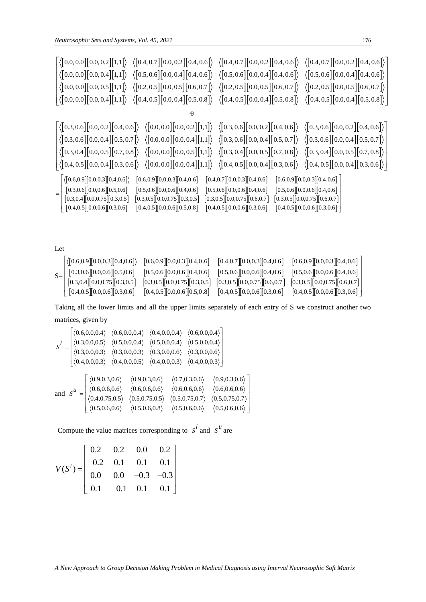| Neutrosophic Sets and Systems, Vol. 45, 2021                                                                                                                                                                                                                                                                                                                                                                                                                                                                                                                                                                                                                                                                                                                                                                                                                                                                                    | 176                            |
|---------------------------------------------------------------------------------------------------------------------------------------------------------------------------------------------------------------------------------------------------------------------------------------------------------------------------------------------------------------------------------------------------------------------------------------------------------------------------------------------------------------------------------------------------------------------------------------------------------------------------------------------------------------------------------------------------------------------------------------------------------------------------------------------------------------------------------------------------------------------------------------------------------------------------------|--------------------------------|
| $\big  \left\langle \begin{bmatrix} 0.0, 0.0 \end{bmatrix} \begin{bmatrix} 0.0, 0.2 \end{bmatrix} \begin{bmatrix} 1, 1 \end{bmatrix} \right\rangle \big  \left\langle \begin{bmatrix} 0.4, 0.7 \end{bmatrix} \begin{bmatrix} 0.0, 0.2 \end{bmatrix} \begin{bmatrix} 0.4, 0.6 \end{bmatrix} \right\rangle \big  \left\langle \begin{bmatrix} 0.4, 0.6 \end{bmatrix} \right\rangle \big  \left\langle \begin{bmatrix} 0.4, 0.7 \end{bmatrix} \begin{bmatrix} 0.4, 0.6 \$<br>$\langle [0.0, 0.0][0.0, 0.4][1,1] \rangle$ $\langle [0.5, 0.6][0.0, 0.4][0.4, 0.6] \rangle$ $\langle [0.5, 0.6][0.0, 0.4][0.4, 0.6] \rangle$ $\langle [0.5, 0.6][0.0, 0.4][0.4, 0.6] \rangle$                                                                                                                                                                                                                                                        |                                |
| $\big\vert \big\langle \begin{bmatrix} 0.0, 0.0 \end{bmatrix} \begin{bmatrix} 0.0, 0.5 \end{bmatrix} \begin{bmatrix} 1, 1 \end{bmatrix} \big\rangle \big\langle \begin{bmatrix} 0.2, 0.5 \end{bmatrix} \begin{bmatrix} 0.0, 0.5 \end{bmatrix} \begin{bmatrix} 0.6, 0.7 \end{bmatrix} \big\rangle \big\langle \begin{bmatrix} 0.2, 0.5 \end{bmatrix} \begin{bmatrix} 0.0, 0.5 \end{bmatrix} \begin{bmatrix} 0.0, 0.5 \end{bmatrix} \begin{bmatrix} 0.0,$<br>$\big  \left\langle \begin{bmatrix} 0.0, 0.0 \end{bmatrix} \begin{bmatrix} 0.0, 0.4 \end{bmatrix} \begin{bmatrix} 1, 1 \end{bmatrix} \right\rangle \big  \left\langle \begin{bmatrix} 0.4, 0.5 \end{bmatrix} \begin{bmatrix} 0.0, 0.4 \end{bmatrix} \begin{bmatrix} 0.5, 0.8 \end{bmatrix} \right\rangle \big  \left\langle \begin{bmatrix} 0.4, 0.5 \end{bmatrix} \begin{bmatrix} 0.0, 0.4 \end{bmatrix} \begin{bmatrix} 0.5, 0.8 \end{bmatrix} \right\rangle \big$ |                                |
| $_{\oplus}$                                                                                                                                                                                                                                                                                                                                                                                                                                                                                                                                                                                                                                                                                                                                                                                                                                                                                                                     |                                |
| $\big  \left\langle \begin{bmatrix} 0.3, 0.6 \end{bmatrix} \begin{bmatrix} 0.0, 0.2 \end{bmatrix} \begin{bmatrix} 0.4, 0.6 \end{bmatrix} \right\rangle \big  \left\langle \begin{bmatrix} 0.0, 0.0 \end{bmatrix} \begin{bmatrix} 0.0, 0.2 \end{bmatrix} \begin{bmatrix} 1, 1 \end{bmatrix} \right\rangle \big  \left\langle \begin{bmatrix} 0.3, 0.6 \end{bmatrix} \begin{bmatrix} 0.0, 0.2 \end{bmatrix} \begin{bmatrix} 0.0, 0.2 \end{bmatrix} \begin{bmatrix}$<br>$\langle [0.3, 0.6][0.0, 0.4][0.5, 0.7] \rangle$ $\langle [0.0, 0.0][0.0, 0.4][1, 1] \rangle$ $\langle [0.3, 0.6][0.0, 0.4][0.5, 0.7] \rangle$ $\langle [0.3, 0.6][0.0, 0.4][0.5, 0.7] \rangle$<br>$\langle 0.3, 0.4 \mid 0.0, 0.5 \mid 0.7, 0.8 \rangle \langle 0.0, 0.0 \mid 0.0, 0.5 \mid 1, 1 \rangle \langle 0.3, 0.4 \mid 0.0, 0.5 \mid 0.7, 0.8 \rangle \langle 0.3, 0.4 \mid 0.0, 0.5 \mid 0.7, 0.8 \rangle$                                       |                                |
| $\big  \left\langle \begin{bmatrix} 0.4, 0.5 \end{bmatrix} \begin{bmatrix} 0.0, 0.4 \end{bmatrix} \begin{bmatrix} 0.3, 0.6 \end{bmatrix} \right\rangle \hspace{0.2cm} \left\langle \begin{bmatrix} 0.0, 0.0 \end{bmatrix} \begin{bmatrix} 0.0, 0.4 \end{bmatrix} \begin{bmatrix} 1, 1 \end{bmatrix} \right\rangle \hspace{0.2cm} \left\langle \begin{bmatrix} 0.4, 0.5 \end{bmatrix} \begin{bmatrix} 0.0, 0.4 \end{bmatrix} \begin{bmatrix} 0.1, 0.6$                                                                                                                                                                                                                                                                                                                                                                                                                                                                           |                                |
| $(0.6, 0.9)[0.0, 0.3][0.4, 0.6])$ $[0.6, 0.9][0.0, 0.3][0.4, 0.6]$ $[0.4, 0.7][0.0, 0.3][0.4, 0.6]$<br>$[0.3, 0.6][0.0, 0.6][0.5, 0.6] \quad [0.5, 0.6][0.0, 0.6][0.4, 0.6] \quad [0.5, 0.6][0.0, 0.6][0.4, 0.6] \quad [0.5, 0.6][0.0, 0.6][0.4, 0.6]$<br>$[0.3, 0.4][0.0, 0.75][0.3, 0.5] [0.3, 0.5][0.0, 0.75][0.3, 0.5] [0.3, 0.5][0.0, 0.75][0.6, 0.7] [0.3, 0.5][0.0, 0.75][0.6, 0.7]$<br>$[0.4, 0.5][0.0, 0.6][0.3, 0.6]$ $[0.4, 0.5][0.0, 0.6][0.5, 0.8]$ $[0.4, 0.5][0.0, 0.6][0.3, 0.6]$ $[0.4, 0.5][0.0, 0.6][0.3, 0.6]$                                                                                                                                                                                                                                                                                                                                                                                              | [0.6, 0.9][0.0, 0.3][0.4, 0.6] |

| Let  |                                                                           |                                         |                                 |                                        |
|------|---------------------------------------------------------------------------|-----------------------------------------|---------------------------------|----------------------------------------|
| $S=$ | $\langle$ [0.6,0.9][0.0,0.3][0.4,0.6])                                    | [0.6, 0.9][0.0, 0.3][0.4, 0.6]          | [0.4, 0.7][0.0, 0.3][0.4, 0.6]  | $[0.6, 0.9]$ [0.0,0.3][0.4,0.6]        |
|      | $\left[0.3, 0.6\right]\!\!\left[0.0, 0.6\right]\!\!\left[0.5, 0.6\right]$ | $[0.5, 0.6]$ $[0.0, 0.6]$ $[0.4, 0.6]$  | [0.5, 0.6][0.0, 0.6][0.4, 0.6]  | $[0.5, 0.6]$ $[0.0, 0.6]$ $[0.4, 0.6]$ |
|      | [0.3, 0.4][0.0, 0.75][0.3, 0.5]                                           | $[0.3, 0.5]$ $[0.0, 0.75]$ $[0.3, 0.5]$ | [0.3, 0.5][0.0, 0.75][0.6, 0.7] | [0.3, 0.5][0.0, 0.75][0.6, 0.7]        |
|      | [0.4, 0.5][0.0, 0.6][0.3, 0.6]                                            | $[0.4, 0.5]$ $[0.0, 0.6]$ $[0.5, 0.8]$  | [0.4, 0.5][0.0, 0.6][0.3, 0.6]  | $[0.4, 0.5]$ $[0.0, 0.6]$ $[0.3, 0.6]$ |

Taking all the lower limits and all the upper limits separately of each entry of S we construct another two matrices, given by

matrices, given by  
\n
$$
S^{I} = \begin{bmatrix}\n\langle 0.6, 0.0, 0.4 \rangle & \langle 0.6, 0.0, 0.4 \rangle & \langle 0.4, 0.0, 0.4 \rangle & \langle 0.6, 0.0, 0.4 \rangle \\
\langle 0.3, 0.0, 0.5 \rangle & \langle 0.5, 0.0, 0.4 \rangle & \langle 0.5, 0.0, 0.4 \rangle & \langle 0.5, 0.0, 0.4 \rangle \\
\langle 0.3, 0.0, 0.3 \rangle & \langle 0.3, 0.0, 0.3 \rangle & \langle 0.3, 0.0, 0.6 \rangle & \langle 0.3, 0.0, 0.6 \rangle \\
\langle 0.4, 0.0, 0.3 \rangle & \langle 0.4, 0.0, 0.5 \rangle & \langle 0.4, 0.0, 0.3 \rangle & \langle 0.4, 0.0, 0.3 \rangle\n\end{bmatrix}
$$
\nand 
$$
S^{u} = \begin{bmatrix}\n\langle 0.9, 0.3, 0.6 \rangle & \langle 0.9, 0.3, 0.6 \rangle & \langle 0.7, 0.3, 0.6 \rangle & \langle 0.9, 0.3, 0.6 \rangle \\
\langle 0.6, 0.6, 0.6 \rangle & \langle 0.6, 0.6, 0.6 \rangle & \langle 0.6, 0.6, 0.6 \rangle & \langle 0.6, 0.6, 0.6 \rangle \\
\langle 0.4, 0.75, 0.5 \rangle & \langle 0.5, 0.75, 0.5 \rangle & \langle 0.5, 0.75, 0.7 \rangle & \langle 0.5, 0.75, 0.7 \rangle \\
\langle 0.5, 0.6, 0.6 \rangle & \langle 0.5, 0.6, 0.8 \rangle & \langle 0.5, 0.6, 0.6 \rangle & \langle 0.5, 0.6, 0.6 \rangle\n\end{bmatrix}
$$

Compute the value matrices corresponding to  $S^l$  and  $S^u$  are

$$
V(S^{t}) = \begin{bmatrix} 0.2 & 0.2 & 0.0 & 0.2 \\ -0.2 & 0.1 & 0.1 & 0.1 \\ 0.0 & 0.0 & -0.3 & -0.3 \\ 0.1 & -0.1 & 0.1 & 0.1 \end{bmatrix}
$$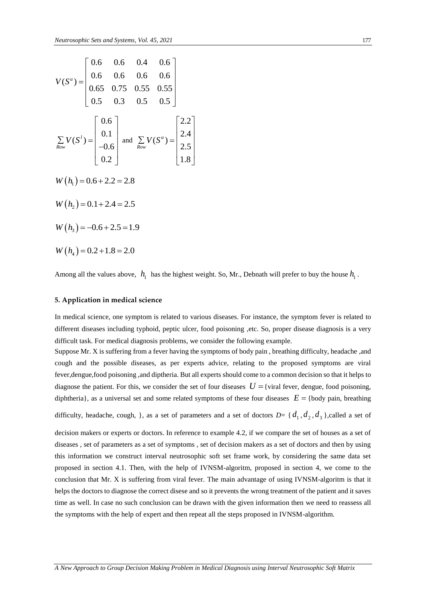$$
V(S^{u}) = \begin{bmatrix} 0.6 & 0.6 & 0.4 & 0.6 \\ 0.6 & 0.6 & 0.6 & 0.6 \\ 0.65 & 0.75 & 0.55 & 0.55 \\ 0.5 & 0.3 & 0.5 & 0.5 \end{bmatrix}
$$
  

$$
\sum_{Row} V(S^{t}) = \begin{bmatrix} 0.6 \\ 0.1 \\ -0.6 \\ 0.2 \end{bmatrix} \text{ and } \sum_{Row} V(S^{u}) = \begin{bmatrix} 2.2 \\ 2.4 \\ 2.5 \\ 1.8 \end{bmatrix}
$$
  

$$
W(h_{1}) = 0.6 + 2.2 = 2.8
$$
  

$$
W(h_{2}) = 0.1 + 2.4 = 2.5
$$
  

$$
W(h_{3}) = -0.6 + 2.5 = 1.9
$$
  

$$
W(h_{4}) = 0.2 + 1.8 = 2.0
$$

Among all the values above,  $h_1$  has the highest weight. So, Mr., Debnath will prefer to buy the house  $h_1$ .

#### **5. Application in medical science**

In medical science, one symptom is related to various diseases. For instance, the symptom fever is related to different diseases including typhoid, peptic ulcer, food poisoning ,etc. So, proper disease diagnosis is a very difficult task. For medical diagnosis problems, we consider the following example.

Suppose Mr. X is suffering from a fever having the symptoms of body pain , breathing difficulty, headache ,and cough and the possible diseases, as per experts advice, relating to the proposed symptoms are viral fever,dengue,food poisoning ,and diptheria. But all experts should come to a common decision so that it helps to diagnose the patient. For this, we consider the set of four diseases  $U = \{$  viral fever, dengue, food poisoning, diphtheria}, as a universal set and some related symptoms of these four diseases  $E = \{body pain, breathing\}$ 

difficulty, headache, cough, }, as a set of parameters and a set of doctors  $D=$  {  $d_1$ ,  $d_2$ ,  $d_3$  },called a set of

decision makers or experts or doctors. In reference to example 4.2, if we compare the set of houses as a set of diseases , set of parameters as a set of symptoms , set of decision makers as a set of doctors and then by using this information we construct interval neutrosophic soft set frame work, by considering the same data set proposed in section 4.1. Then, with the help of IVNSM-algoritm, proposed in section 4, we come to the conclusion that Mr. X is suffering from viral fever. The main advantage of using IVNSM-algoritm is that it helps the doctors to diagnose the correct disese and so it prevents the wrong treatment of the patient and it saves time as well. In case no such conclusion can be drawn with the given information then we need to reassess all the symptoms with the help of expert and then repeat all the steps proposed in IVNSM-algorithm.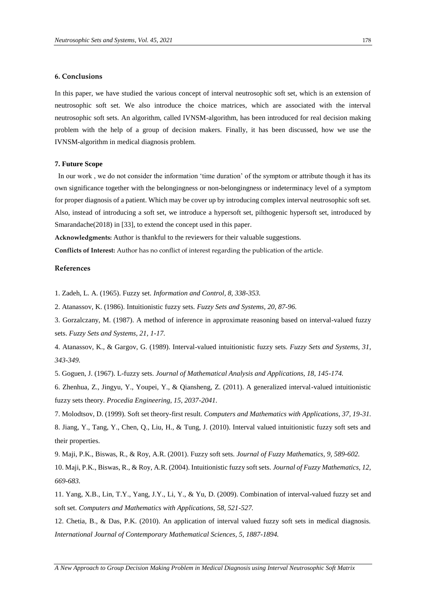## **6. Conclusions**

In this paper, we have studied the various concept of interval neutrosophic soft set, which is an extension of neutrosophic soft set. We also introduce the choice matrices, which are associated with the interval neutrosophic soft sets. An algorithm, called IVNSM-algorithm, has been introduced for real decision making problem with the help of a group of decision makers. Finally, it has been discussed, how we use the IVNSM-algorithm in medical diagnosis problem.

#### **7. Future Scope**

In our work, we do not consider the information 'time duration' of the symptom or attribute though it has its own significance together with the belongingness or non-belongingness or indeterminacy level of a symptom for proper diagnosis of a patient. Which may be cover up by introducing complex interval neutrosophic soft set. Also, instead of introducing a soft set, we introduce a hypersoft set, pilthogenic hypersoft set, introduced by Smarandache(2018) in [33], to extend the concept used in this paper.

**Acknowledgments:** Author is thankful to the reviewers for their valuable suggestions.

**Conflicts of Interest:** Author has no conflict of interest regarding the publication of the article.

#### **References**

1. Zadeh, L. A. (1965). Fuzzy set. *Information and Control, 8, 338-353.*

2. Atanassov, K. (1986). Intuitionistic fuzzy sets. *Fuzzy Sets and Systems, 20, 87-96.*

3. Gorzalczany, M. (1987). A method of inference in approximate reasoning based on interval-valued fuzzy sets. *Fuzzy Sets and Systems, 21, 1-17.*

4. Atanassov, K., & Gargov, G. (1989). Interval-valued intuitionistic fuzzy sets. *Fuzzy Sets and Systems, 31, 343-349.*

5. Goguen, J. (1967). L-fuzzy sets. *Journal of Mathematical Analysis and Applications, 18, 145-174.*

6. Zhenhua, Z., Jingyu, Y., Youpei, Y., & Qiansheng, Z. (2011). A generalized interval-valued intuitionistic fuzzy sets theory. *Procedia Engineering, 15, 2037-2041.*

7. Molodtsov, D. (1999). Soft set theory-first result. *Computers and Mathematics with Applications, 37, 19-31.* 8. Jiang, Y., Tang, Y., Chen, Q., Liu, H., & Tung, J. (2010). Interval valued intuitionistic fuzzy soft sets and their properties.

9. Maji, P.K., Biswas, R., & Roy, A.R. (2001). Fuzzy soft sets. *Journal of Fuzzy Mathematics, 9, 589-602.*

10. Maji, P.K., Biswas, R., & Roy, A.R. (2004). Intuitionistic fuzzy soft sets. *Journal of Fuzzy Mathematics, 12, 669-683.*

11. Yang, X.B., Lin, T.Y., Yang, J.Y., Li, Y., & Yu, D. (2009). Combination of interval-valued fuzzy set and soft set. *Computers and Mathematics with Applications, 58, 521-527.*

12. Chetia, B., & Das, P.K. (2010). An application of interval valued fuzzy soft sets in medical diagnosis. *International Journal of Contemporary Mathematical Sciences, 5, 1887-1894.*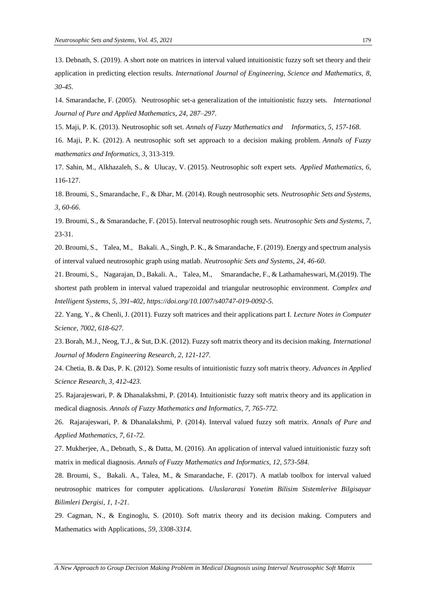13. Debnath, S. (2019). A short note on matrices in interval valued intuitionistic fuzzy soft set theory and their application in predicting election results. *International Journal of Engineering, Science and Mathematics, 8, 30-45.*

14. Smarandache, F. (2005). Neutrosophic set-a generalization of the intuitionistic fuzzy sets. *International Journal of Pure and Applied Mathematics*, *24*, *287–297*.

15. Maji, P. K. (2013). Neutrosophic soft set. *Annals of Fuzzy Mathematics and Informatics, 5*, *157-168*.

16. Maji, P. K. (2012). A neutrosophic soft set approach to a decision making problem. *Annals of Fuzzy mathematics and Informatics, 3*, 313-319.

17. Sahin, M., Alkhazaleh, S., & Ulucay, V. (2015). Neutrosophic soft expert sets. *Applied Mathematics, 6*, 116-127.

18. Broumi, S., Smarandache, F., & Dhar, M. (2014). Rough neutrosophic sets. *Neutrosophic Sets and Systems, 3*, *60-66*.

19. Broumi, S., & Smarandache, F. (2015). Interval neutrosophic rough sets. *Neutrosophic Sets and Systems, 7*, 23-31.

20. Broumi, S., Talea, M., Bakali. A., Singh, P. K., & Smarandache, F. (2019). Energy and spectrum analysis of interval valued neutrosophic graph using matlab. *Neutrosophic Sets and Systems, 24, 46-60*.

21. Broumi, S., Nagarajan, D., Bakali. A., Talea, M., Smarandache, F., & Lathamaheswari, M.(2019). The shortest path problem in interval valued trapezoidal and triangular neutrosophic environment. *Complex and Intelligent Systems, 5, 391-402, https://doi.org/10.1007/s40747-019-0092-5*.

22. Yang, Y., & Chenli, J. (2011). Fuzzy soft matrices and their applications part I. *Lecture Notes in Computer Science, 7002, 618-627.*

23. Borah, M.J., Neog, T.J., & Sut, D.K. (2012). Fuzzy soft matrix theory and its decision making. *International Journal of Modern Engineering Research, 2, 121-127.*

24. Chetia, B. & Das, P. K. (2012). Some results of intuitionistic fuzzy soft matrix theory. *Advances in Applied Science Research, 3, 412-423.*

25. Rajarajeswari, P. & Dhanalakshmi, P. (2014). Intuitionistic fuzzy soft matrix theory and its application in medical diagnosis. *Annals of Fuzzy Mathematics and Informatics, 7, 765-772.*

26. Rajarajeswari, P. & Dhanalakshmi, P. (2014). Interval valued fuzzy soft matrix. *Annals of Pure and Applied Mathematics, 7, 61-72.*

27. Mukherjee, A., Debnath, S., & Datta, M. (2016). An application of interval valued intuitionistic fuzzy soft matrix in medical diagnosis. *Annals of Fuzzy Mathematics and Informatics, 12, 573-584.*

28. Broumi, S., Bakali. A., Talea, M., & Smarandache, F. (2017). A matlab toolbox for interval valued neutrosophic matrices for computer applications. *Uluslararasi Yonetim Bilisim Sistemlerive Bilgisayar Bilimleri Dergisi, 1, 1-21*.

29. Cagman, N., & Enginoglu, S. (2010). Soft matrix theory and its decision making. Computers and Mathematics with Applications*, 59*, *3308-3314*.